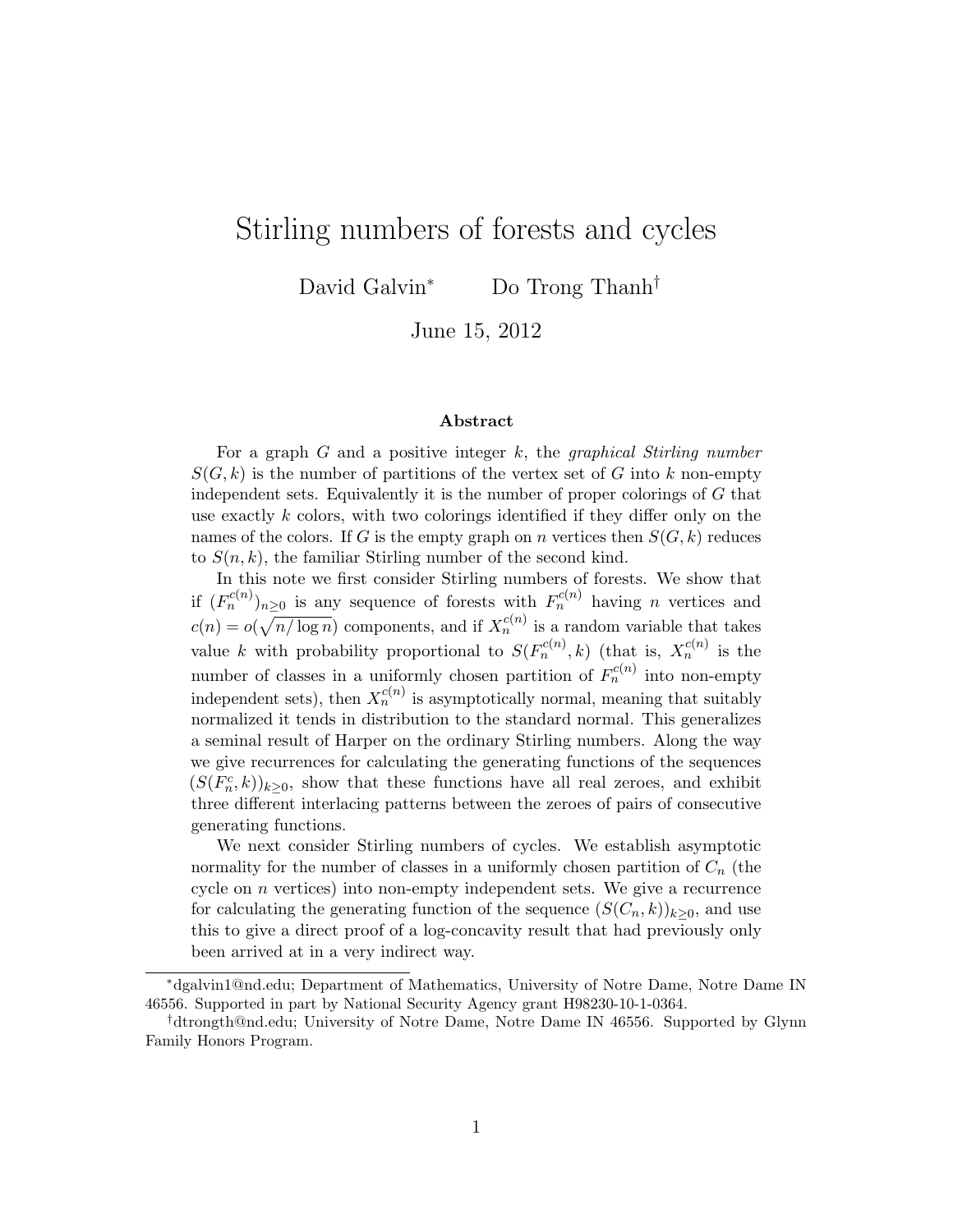# Stirling numbers of forests and cycles

David Galvin<sup>∗</sup> Do Trong Thanh<sup>†</sup>

June 15, 2012

#### Abstract

For a graph  $G$  and a positive integer  $k$ , the *graphical Stirling number*  $S(G, k)$  is the number of partitions of the vertex set of G into k non-empty independent sets. Equivalently it is the number of proper colorings of G that use exactly k colors, with two colorings identified if they differ only on the names of the colors. If G is the empty graph on n vertices then  $S(G, k)$  reduces to  $S(n, k)$ , the familiar Stirling number of the second kind.

In this note we first consider Stirling numbers of forests. We show that if  $(F_n^{c(n)})_{n\geq 0}$  is any sequence of forests with  $F_n^{c(n)}$  having n vertices and  $c(n) = o(\sqrt{n/\log n})$  components, and if  $X_n^{c(n)}$  is a random variable that takes value k with probability proportional to  $S(F_n^{c(n)}, k)$  (that is,  $X_n^{c(n)}$  is the number of classes in a uniformly chosen partition of  $F_n^{c(n)}$  into non-empty independent sets), then  $X_n^{c(n)}$  is asymptotically normal, meaning that suitably normalized it tends in distribution to the standard normal. This generalizes a seminal result of Harper on the ordinary Stirling numbers. Along the way we give recurrences for calculating the generating functions of the sequences  $(S(F_n^c, k))_{k \geq 0}$ , show that these functions have all real zeroes, and exhibit three different interlacing patterns between the zeroes of pairs of consecutive generating functions.

We next consider Stirling numbers of cycles. We establish asymptotic normality for the number of classes in a uniformly chosen partition of  $C_n$  (the cycle on  $n$  vertices) into non-empty independent sets. We give a recurrence for calculating the generating function of the sequence  $(S(C_n, k))_{k>0}$ , and use this to give a direct proof of a log-concavity result that had previously only been arrived at in a very indirect way.

<sup>∗</sup>dgalvin1@nd.edu; Department of Mathematics, University of Notre Dame, Notre Dame IN 46556. Supported in part by National Security Agency grant H98230-10-1-0364.

<sup>†</sup>dtrongth@nd.edu; University of Notre Dame, Notre Dame IN 46556. Supported by Glynn Family Honors Program.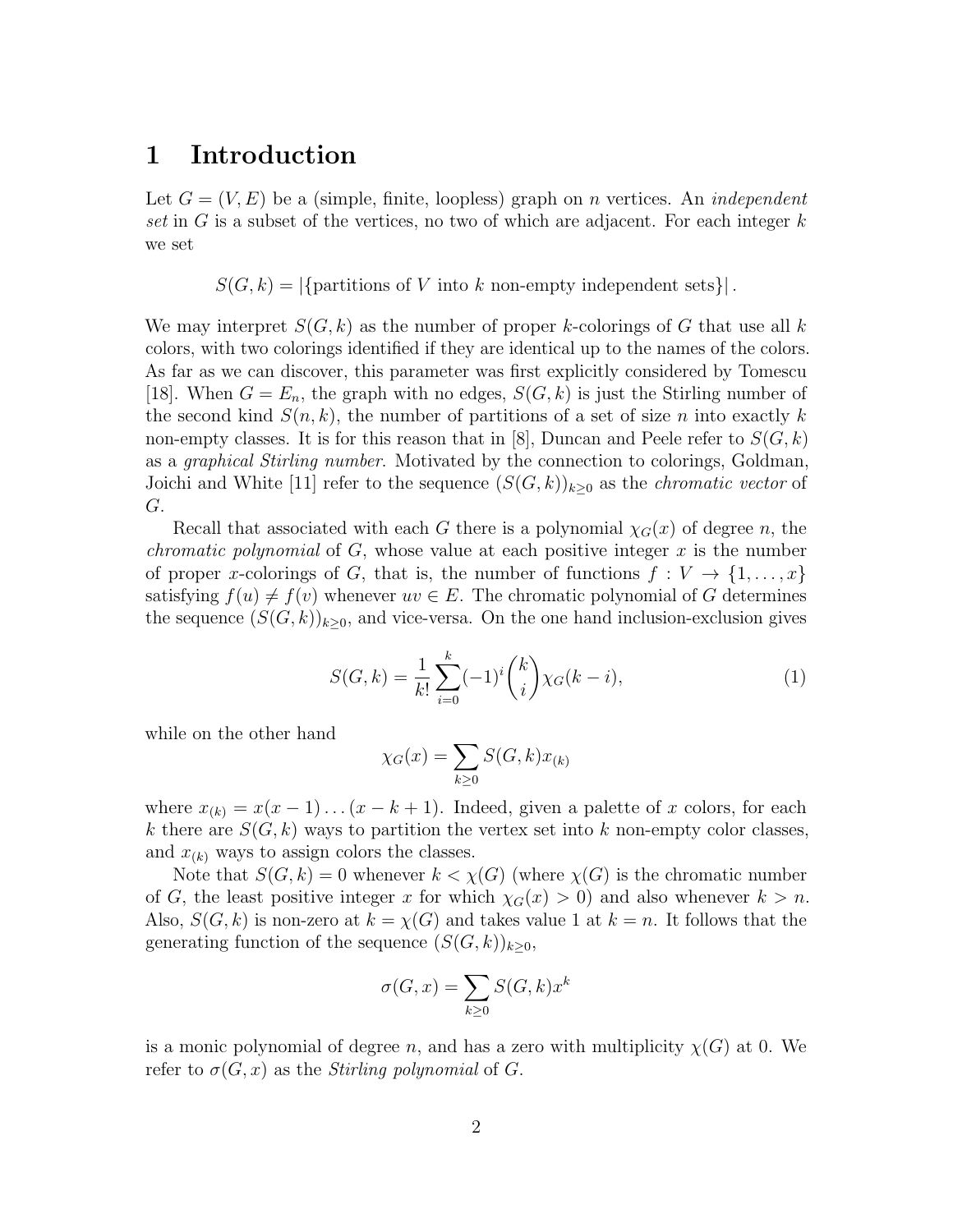## 1 Introduction

Let  $G = (V, E)$  be a (simple, finite, loopless) graph on *n* vertices. An *independent* set in G is a subset of the vertices, no two of which are adjacent. For each integer  $k$ we set

 $S(G, k) = |\{\text{partitions of } V \text{ into } k \text{ non-empty independent sets}\}|.$ 

We may interpret  $S(G, k)$  as the number of proper k-colorings of G that use all k colors, with two colorings identified if they are identical up to the names of the colors. As far as we can discover, this parameter was first explicitly considered by Tomescu [18]. When  $G = E_n$ , the graph with no edges,  $S(G, k)$  is just the Stirling number of the second kind  $S(n, k)$ , the number of partitions of a set of size n into exactly k non-empty classes. It is for this reason that in [8], Duncan and Peele refer to  $S(G, k)$ as a graphical Stirling number. Motivated by the connection to colorings, Goldman, Joichi and White [11] refer to the sequence  $(S(G, k))_{k\geq 0}$  as the *chromatic vector* of G.

Recall that associated with each G there is a polynomial  $\chi_G(x)$  of degree n, the *chromatic polynomial* of  $G$ , whose value at each positive integer  $x$  is the number of proper x-colorings of G, that is, the number of functions  $f: V \to \{1, \ldots, x\}$ satisfying  $f(u) \neq f(v)$  whenever  $uv \in E$ . The chromatic polynomial of G determines the sequence  $(S(G, k))_{k>0}$ , and vice-versa. On the one hand inclusion-exclusion gives

$$
S(G,k) = \frac{1}{k!} \sum_{i=0}^{k} (-1)^{i} {k \choose i} \chi_G(k-i), \qquad (1)
$$

while on the other hand

$$
\chi_G(x) = \sum_{k \ge 0} S(G, k) x_{(k)}
$$

where  $x_{(k)} = x(x-1)...(x-k+1)$ . Indeed, given a palette of x colors, for each k there are  $S(G, k)$  ways to partition the vertex set into k non-empty color classes, and  $x_{(k)}$  ways to assign colors the classes.

Note that  $S(G, k) = 0$  whenever  $k < \chi(G)$  (where  $\chi(G)$  is the chromatic number of G, the least positive integer x for which  $\chi_G(x) > 0$  and also whenever  $k > n$ . Also,  $S(G, k)$  is non-zero at  $k = \chi(G)$  and takes value 1 at  $k = n$ . It follows that the generating function of the sequence  $(S(G, k))_{k>0}$ ,

$$
\sigma(G, x) = \sum_{k \ge 0} S(G, k) x^k
$$

is a monic polynomial of degree n, and has a zero with multiplicity  $\chi(G)$  at 0. We refer to  $\sigma(G, x)$  as the *Stirling polynomial* of G.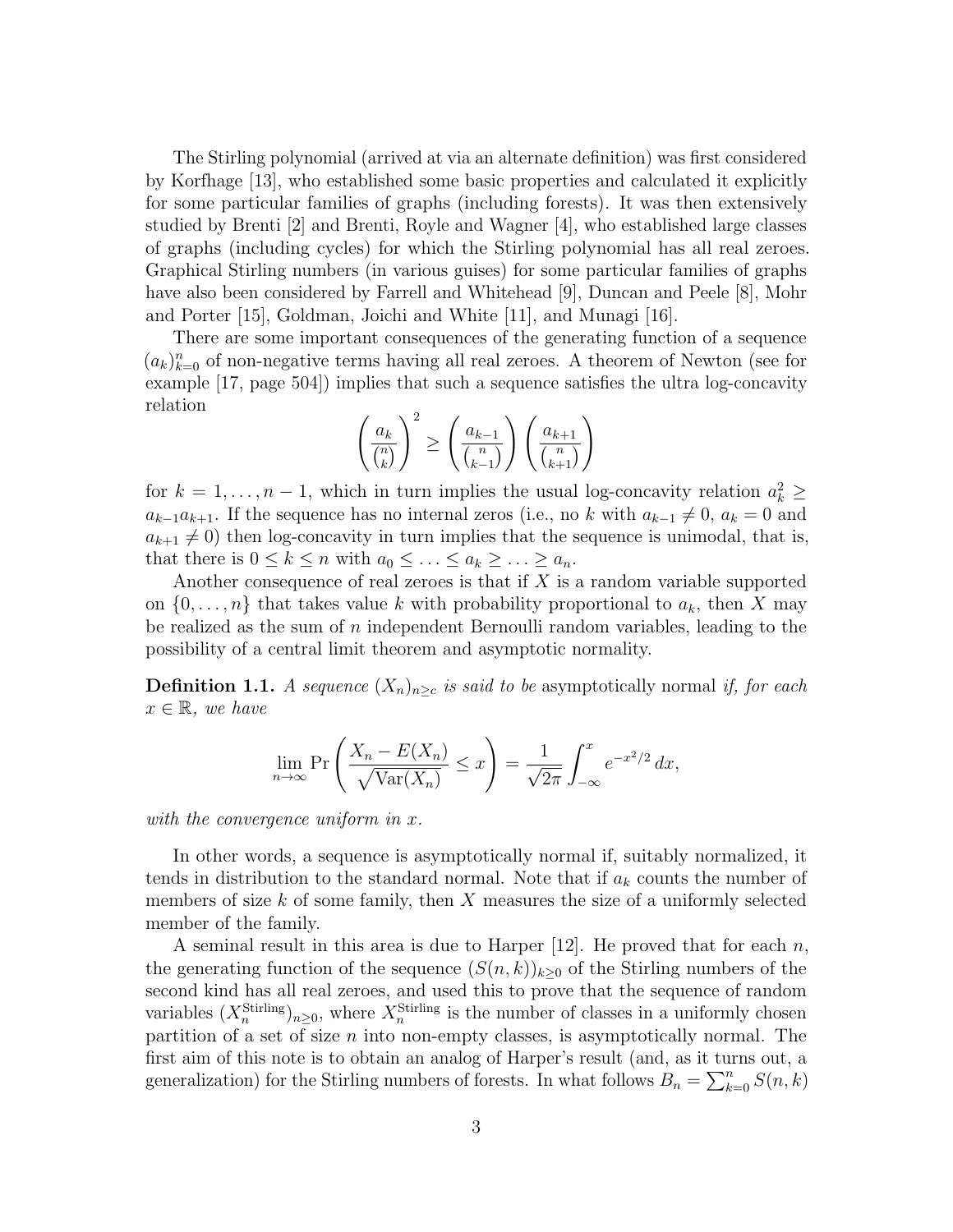The Stirling polynomial (arrived at via an alternate definition) was first considered by Korfhage [13], who established some basic properties and calculated it explicitly for some particular families of graphs (including forests). It was then extensively studied by Brenti [2] and Brenti, Royle and Wagner [4], who established large classes of graphs (including cycles) for which the Stirling polynomial has all real zeroes. Graphical Stirling numbers (in various guises) for some particular families of graphs have also been considered by Farrell and Whitehead [9], Duncan and Peele [8], Mohr and Porter [15], Goldman, Joichi and White [11], and Munagi [16].

There are some important consequences of the generating function of a sequence  $(a_k)_{k=0}^n$  of non-negative terms having all real zeroes. A theorem of Newton (see for example [17, page 504]) implies that such a sequence satisfies the ultra log-concavity relation

$$
\left(\frac{a_k}{\binom{n}{k}}\right)^2 \ge \left(\frac{a_{k-1}}{\binom{n}{k-1}}\right) \left(\frac{a_{k+1}}{\binom{n}{k+1}}\right)
$$

for  $k = 1, ..., n - 1$ , which in turn implies the usual log-concavity relation  $a_k^2 \geq$  $a_{k-1}a_{k+1}$ . If the sequence has no internal zeros (i.e., no k with  $a_{k-1} \neq 0$ ,  $a_k = 0$  and  $a_{k+1} \neq 0$ ) then log-concavity in turn implies that the sequence is unimodal, that is, that there is  $0 \leq k \leq n$  with  $a_0 \leq \ldots \leq a_k \geq \ldots \geq a_n$ .

Another consequence of real zeroes is that if  $X$  is a random variable supported on  $\{0, \ldots, n\}$  that takes value k with probability proportional to  $a_k$ , then X may be realized as the sum of  $n$  independent Bernoulli random variables, leading to the possibility of a central limit theorem and asymptotic normality.

**Definition 1.1.** A sequence  $(X_n)_{n>c}$  is said to be asymptotically normal if, for each  $x \in \mathbb{R}$ , we have

$$
\lim_{n \to \infty} \Pr\left(\frac{X_n - E(X_n)}{\sqrt{\text{Var}(X_n)}} \le x\right) = \frac{1}{\sqrt{2\pi}} \int_{-\infty}^x e^{-x^2/2} dx,
$$

with the convergence uniform in x.

In other words, a sequence is asymptotically normal if, suitably normalized, it tends in distribution to the standard normal. Note that if  $a_k$  counts the number of members of size  $k$  of some family, then  $X$  measures the size of a uniformly selected member of the family.

A seminal result in this area is due to Harper  $[12]$ . He proved that for each n, the generating function of the sequence  $(S(n, k))_{k>0}$  of the Stirling numbers of the second kind has all real zeroes, and used this to prove that the sequence of random variables  $(X_n^{\text{Stirling}})_{n\geq 0}$ , where  $X_n^{\text{Stirling}}$  is the number of classes in a uniformly chosen partition of a set of size  $n$  into non-empty classes, is asymptotically normal. The first aim of this note is to obtain an analog of Harper's result (and, as it turns out, a generalization) for the Stirling numbers of forests. In what follows  $B_n = \sum_{k=0}^n S(n, k)$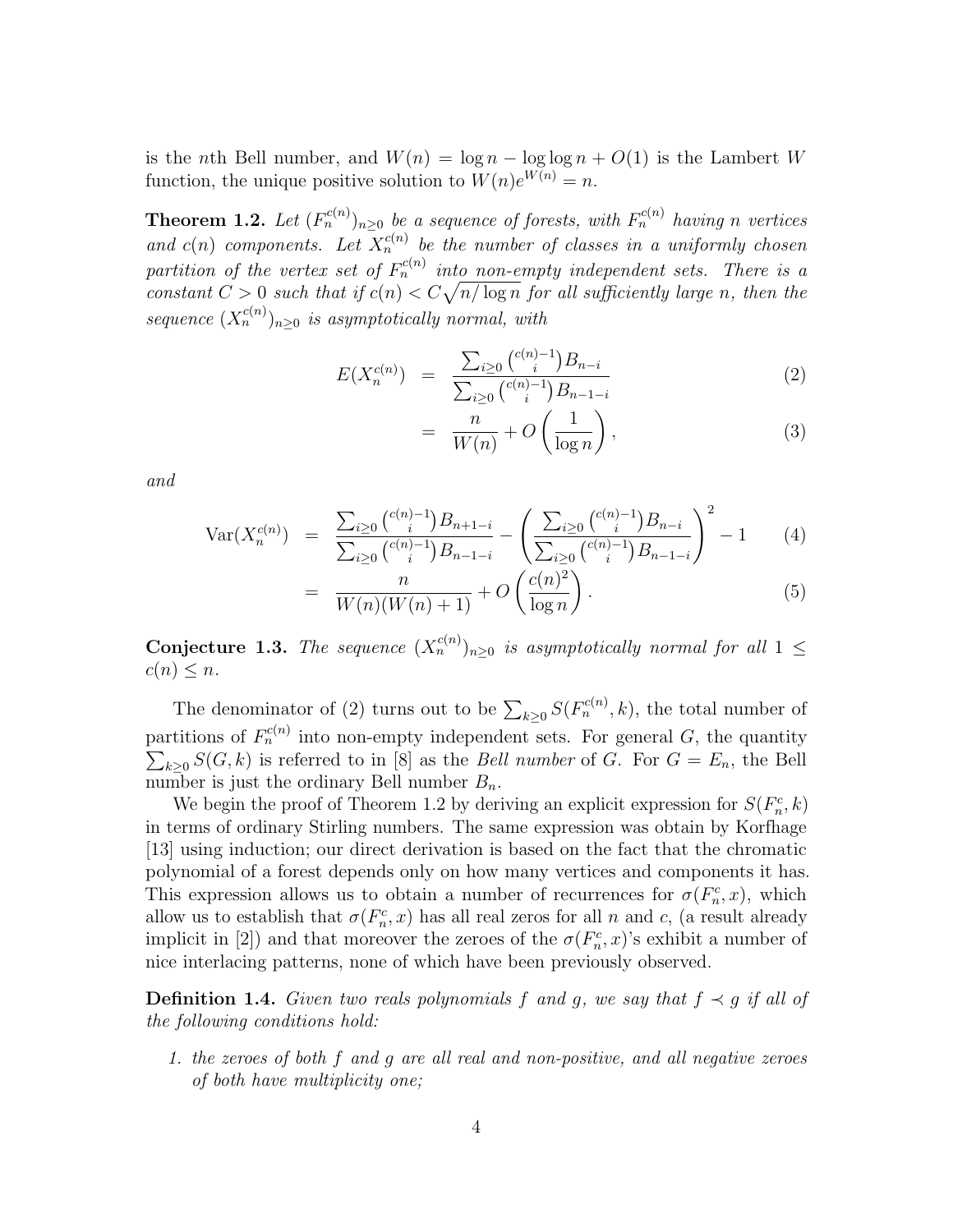is the nth Bell number, and  $W(n) = \log n - \log \log n + O(1)$  is the Lambert W function, the unique positive solution to  $W(n)e^{W(n)} = n$ .

**Theorem 1.2.** Let  $(F_n^{c(n)})_{n\geq 0}$  be a sequence of forests, with  $F_n^{c(n)}$  having n vertices and  $c(n)$  components. Let  $X_n^{c(n)}$  be the number of classes in a uniformly chosen partition of the vertex set of  $F_n^{c(n)}$  into non-empty independent sets. There is a constant  $C > 0$  such that if  $c(n) < C\sqrt{n/\log n}$  for all sufficiently large n, then the sequence  $(X_n^{c(n)})_{n\geq 0}$  is asymptotically normal, with

$$
E(X_n^{c(n)}) = \frac{\sum_{i\geq 0} {c(n)-1 \choose i} B_{n-i}}{\sum_{i\geq 0} {c(n)-1 \choose i} B_{n-1-i}} \tag{2}
$$

$$
= \frac{n}{W(n)} + O\left(\frac{1}{\log n}\right),\tag{3}
$$

and

=

$$
\text{Var}(X_n^{c(n)}) = \frac{\sum_{i \ge 0} {c(n)-1 \choose i} B_{n+1-i}}{\sum_{i \ge 0} {c(n)-1 \choose i} B_{n-1-i}} - \left(\frac{\sum_{i \ge 0} {c(n)-1 \choose i} B_{n-i}}{\sum_{i \ge 0} {c(n)-1 \choose i} B_{n-1-i}}\right)^2 - 1 \tag{4}
$$

$$
= \frac{n}{W(n)(W(n)+1)} + O\left(\frac{c(n)^2}{\log n}\right). \tag{5}
$$

**Conjecture 1.3.** The sequence  $(X_n^{c(n)})_{n\geq 0}$  is asymptotically normal for all  $1 \leq$  $c(n) \leq n$ .

The denominator of (2) turns out to be  $\sum_{k\geq 0} S(F_n^{c(n)}, k)$ , the total number of partitions of  $F_n^{c(n)}$  into non-empty independent sets. For general G, the quantity  $\sum_{k\geq 0} S(G, k)$  is referred to in [8] as the *Bell number* of G. For  $G = E_n$ , the Bell number is just the ordinary Bell number  $B_n$ .

We begin the proof of Theorem 1.2 by deriving an explicit expression for  $S(F_n^c, k)$ in terms of ordinary Stirling numbers. The same expression was obtain by Korfhage [13] using induction; our direct derivation is based on the fact that the chromatic polynomial of a forest depends only on how many vertices and components it has. This expression allows us to obtain a number of recurrences for  $\sigma(F_n^c, x)$ , which allow us to establish that  $\sigma(F_n^c, x)$  has all real zeros for all n and c, (a result already implicit in [2]) and that moreover the zeroes of the  $\sigma(F_n^c, x)$ 's exhibit a number of nice interlacing patterns, none of which have been previously observed.

**Definition 1.4.** Given two reals polynomials f and g, we say that  $f \prec g$  if all of the following conditions hold:

1. the zeroes of both f and g are all real and non-positive, and all negative zeroes of both have multiplicity one;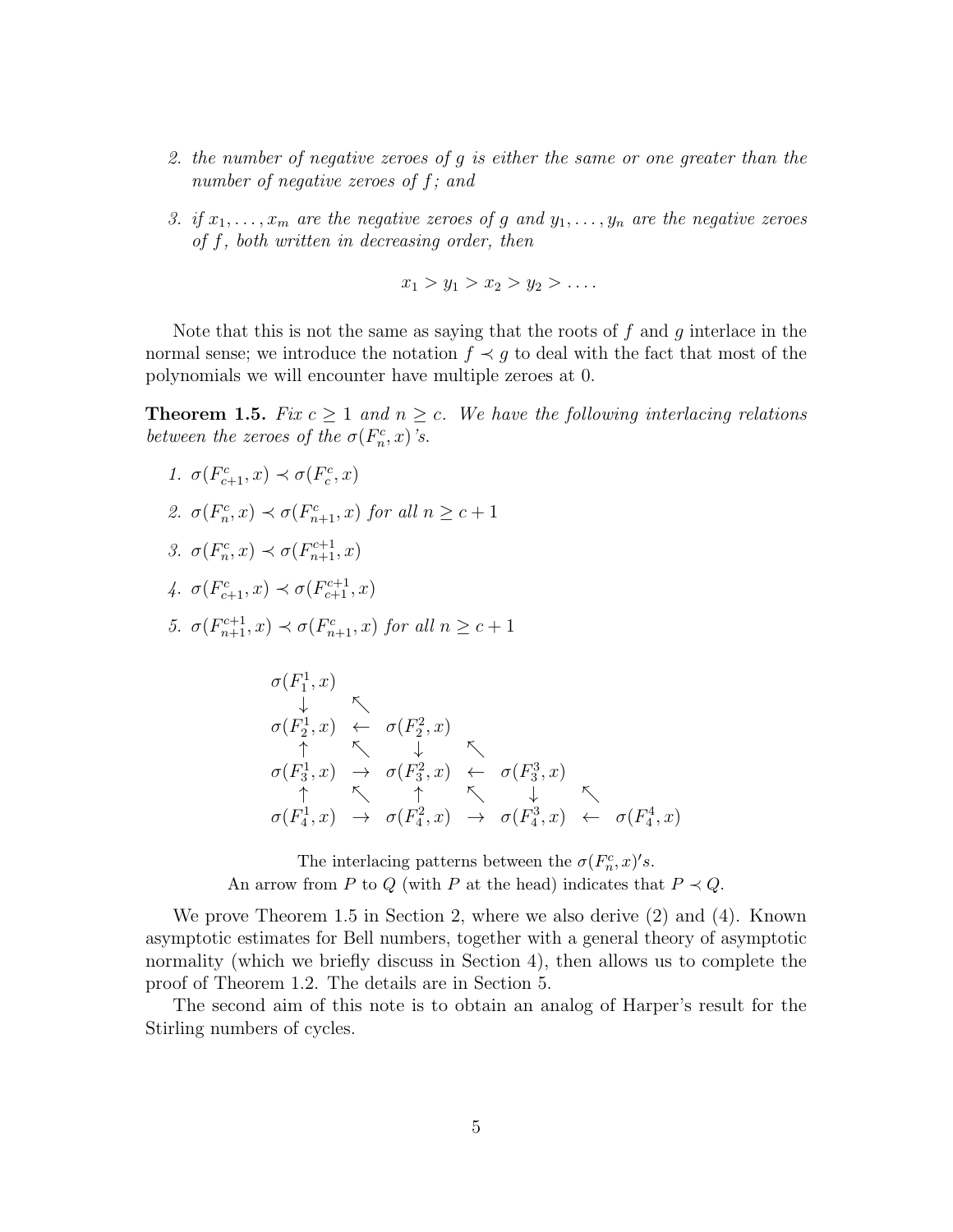- 2. the number of negative zeroes of g is either the same or one greater than the number of negative zeroes of f; and
- 3. if  $x_1, \ldots, x_m$  are the negative zeroes of g and  $y_1, \ldots, y_n$  are the negative zeroes of f, both written in decreasing order, then

$$
x_1 > y_1 > x_2 > y_2 > \ldots
$$

Note that this is not the same as saying that the roots of  $f$  and  $g$  interlace in the normal sense; we introduce the notation  $f \prec g$  to deal with the fact that most of the polynomials we will encounter have multiple zeroes at 0.

**Theorem 1.5.** Fix  $c \geq 1$  and  $n \geq c$ . We have the following interlacing relations between the zeroes of the  $\sigma(F_n^c, x)$ 's.

1. 
$$
\sigma(F_{c+1}^c, x) \prec \sigma(F_c^c, x)
$$
  
\n2.  $\sigma(F_n^c, x) \prec \sigma(F_{n+1}^c, x)$  for all  $n \geq c+1$   
\n3.  $\sigma(F_n^c, x) \prec \sigma(F_{n+1}^{c+1}, x)$   
\n4.  $\sigma(F_{c+1}^c, x) \prec \sigma(F_{c+1}^{c+1}, x)$   
\n5.  $\sigma(F_{n+1}^{c+1}, x) \prec \sigma(F_{n+1}^c, x)$  for all  $n \geq c+1$ 

$$
\sigma(F_1^1, x) \downarrow \sim
$$
\n
$$
\sigma(F_2^1, x) \leftarrow \sigma(F_2^2, x) \sim
$$
\n
$$
\sigma(F_3^1, x) \leftarrow \sigma(F_3^2, x) \leftarrow \sigma(F_3^3, x) \sim
$$
\n
$$
\sigma(F_4^1, x) \leftarrow \sigma(F_4^2, x) \leftarrow \sigma(F_4^3, x) \leftarrow \sigma(F_4^4, x)
$$

The interlacing patterns between the  $\sigma(F_n^c, x)'s$ . An arrow from P to Q (with P at the head) indicates that  $P \prec Q$ .

We prove Theorem 1.5 in Section 2, where we also derive (2) and (4). Known asymptotic estimates for Bell numbers, together with a general theory of asymptotic normality (which we briefly discuss in Section 4), then allows us to complete the proof of Theorem 1.2. The details are in Section 5.

The second aim of this note is to obtain an analog of Harper's result for the Stirling numbers of cycles.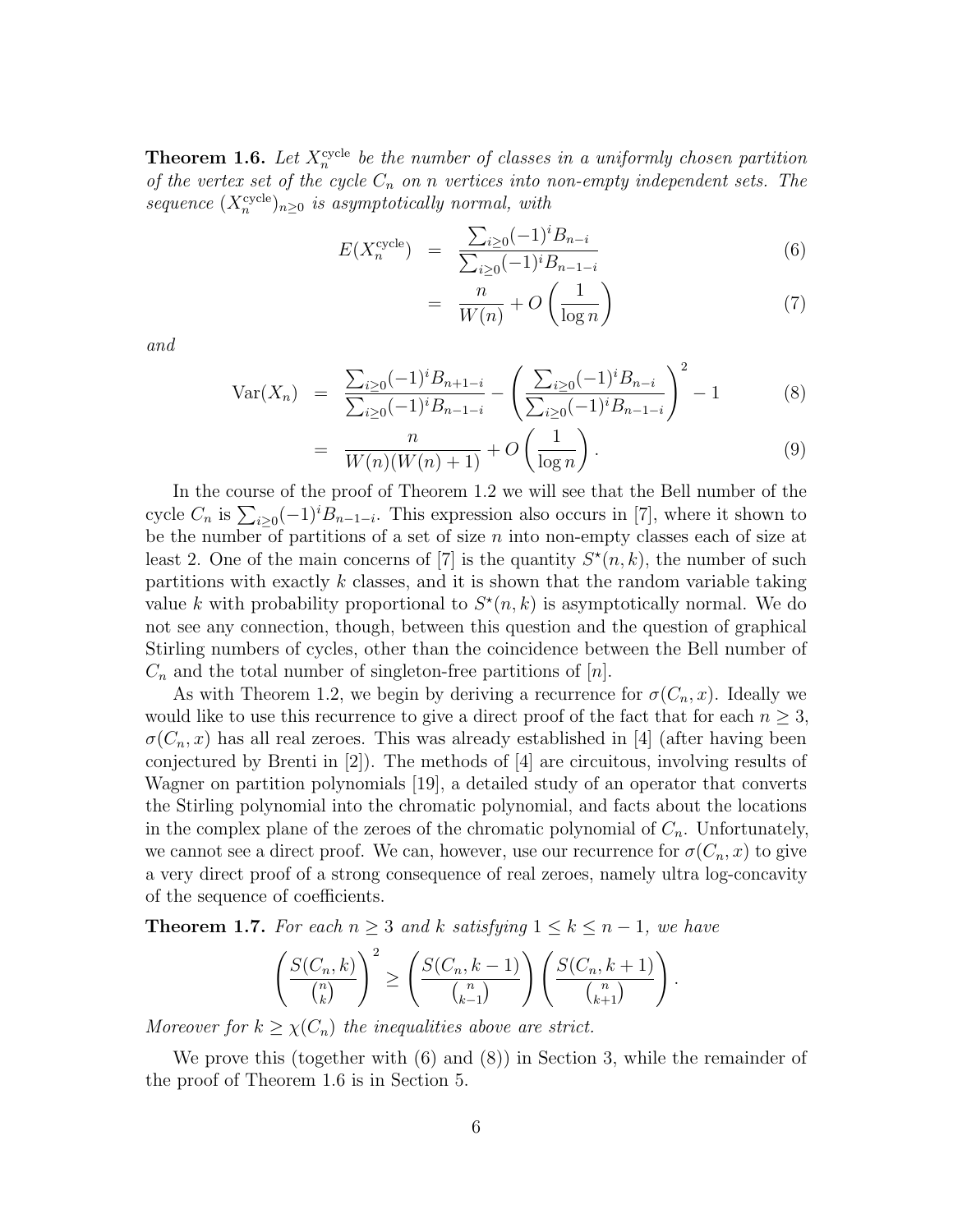**Theorem 1.6.** Let  $X_n^{\text{cycle}}$  be the number of classes in a uniformly chosen partition of the vertex set of the cycle  $C_n$  on n vertices into non-empty independent sets. The sequence  $(X_n^{\text{cycle}})_{n\geq 0}$  is asymptotically normal, with

$$
E(X_n^{\text{cycle}}) = \frac{\sum_{i \ge 0} (-1)^i B_{n-i}}{\sum_{i \ge 0} (-1)^i B_{n-1-i}}
$$
(6)

$$
= \frac{n}{W(n)} + O\left(\frac{1}{\log n}\right) \tag{7}
$$

and

$$
\text{Var}(X_n) = \frac{\sum_{i \ge 0} (-1)^i B_{n+1-i}}{\sum_{i \ge 0} (-1)^i B_{n-1-i}} - \left( \frac{\sum_{i \ge 0} (-1)^i B_{n-i}}{\sum_{i \ge 0} (-1)^i B_{n-1-i}} \right)^2 - 1 \tag{8}
$$

$$
= \frac{n}{W(n)(W(n)+1)} + O\left(\frac{1}{\log n}\right). \tag{9}
$$

In the course of the proof of Theorem 1.2 we will see that the Bell number of the cycle  $C_n$  is  $\sum_{i\geq 0}(-1)^i B_{n-1-i}$ . This expression also occurs in [7], where it shown to be the number of partitions of a set of size  $n$  into non-empty classes each of size at least 2. One of the main concerns of [7] is the quantity  $S^*(n, k)$ , the number of such partitions with exactly  $k$  classes, and it is shown that the random variable taking value k with probability proportional to  $S^*(n,k)$  is asymptotically normal. We do not see any connection, though, between this question and the question of graphical Stirling numbers of cycles, other than the coincidence between the Bell number of  $C_n$  and the total number of singleton-free partitions of  $[n]$ .

As with Theorem 1.2, we begin by deriving a recurrence for  $\sigma(C_n, x)$ . Ideally we would like to use this recurrence to give a direct proof of the fact that for each  $n \geq 3$ ,  $\sigma(C_n, x)$  has all real zeroes. This was already established in [4] (after having been conjectured by Brenti in [2]). The methods of [4] are circuitous, involving results of Wagner on partition polynomials [19], a detailed study of an operator that converts the Stirling polynomial into the chromatic polynomial, and facts about the locations in the complex plane of the zeroes of the chromatic polynomial of  $C_n$ . Unfortunately, we cannot see a direct proof. We can, however, use our recurrence for  $\sigma(C_n, x)$  to give a very direct proof of a strong consequence of real zeroes, namely ultra log-concavity of the sequence of coefficients.

**Theorem 1.7.** For each  $n \geq 3$  and k satisfying  $1 \leq k \leq n-1$ , we have

$$
\left(\frac{S(C_n,k)}{\binom{n}{k}}\right)^2 \ge \left(\frac{S(C_n,k-1)}{\binom{n}{k-1}}\right) \left(\frac{S(C_n,k+1)}{\binom{n}{k+1}}\right).
$$

Moreover for  $k \geq \chi(C_n)$  the inequalities above are strict.

We prove this (together with (6) and (8)) in Section 3, while the remainder of the proof of Theorem 1.6 is in Section 5.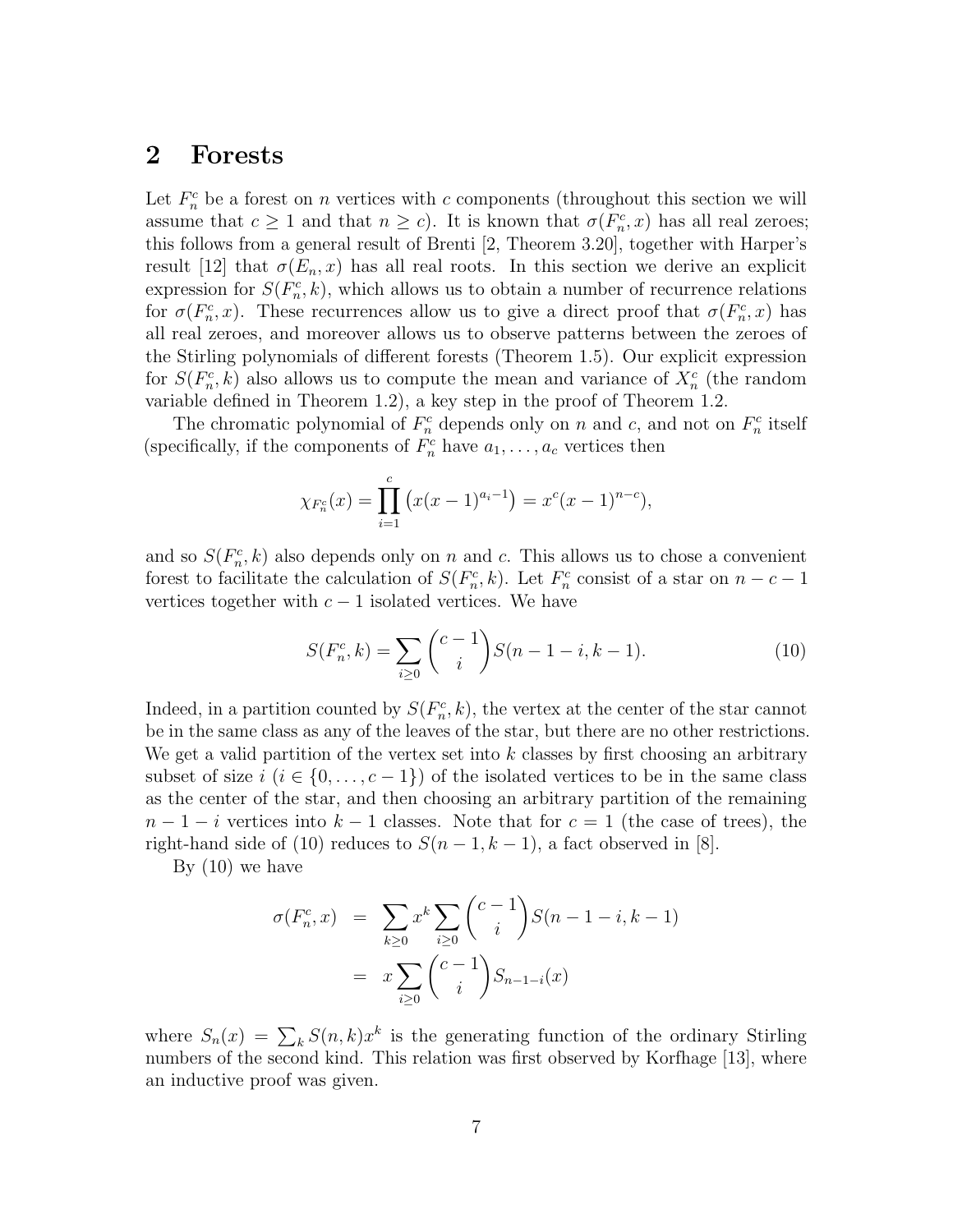### 2 Forests

Let  $F_n^c$  be a forest on n vertices with c components (throughout this section we will assume that  $c \ge 1$  and that  $n \ge c$ ). It is known that  $\sigma(F_n^c, x)$  has all real zeroes; this follows from a general result of Brenti [2, Theorem 3.20], together with Harper's result [12] that  $\sigma(E_n, x)$  has all real roots. In this section we derive an explicit expression for  $S(F_n^c, k)$ , which allows us to obtain a number of recurrence relations for  $\sigma(F_n^c, x)$ . These recurrences allow us to give a direct proof that  $\sigma(F_n^c, x)$  has all real zeroes, and moreover allows us to observe patterns between the zeroes of the Stirling polynomials of different forests (Theorem 1.5). Our explicit expression for  $S(F_n^c, k)$  also allows us to compute the mean and variance of  $X_n^c$  (the random variable defined in Theorem 1.2), a key step in the proof of Theorem 1.2.

The chromatic polynomial of  $F_n^c$  depends only on n and c, and not on  $F_n^c$  itself (specifically, if the components of  $F_n^c$  have  $a_1, \ldots, a_c$  vertices then

$$
\chi_{F_n^c}(x) = \prod_{i=1}^c \left( x(x-1)^{a_i-1} \right) = x^c (x-1)^{n-c},
$$

and so  $S(F_n^c, k)$  also depends only on n and c. This allows us to chose a convenient forest to facilitate the calculation of  $S(F_n^c, k)$ . Let  $F_n^c$  consist of a star on  $n - c - 1$ vertices together with  $c - 1$  isolated vertices. We have

$$
S(F_n^c, k) = \sum_{i \ge 0} {c-1 \choose i} S(n-1-i, k-1).
$$
 (10)

Indeed, in a partition counted by  $S(F_n^c, k)$ , the vertex at the center of the star cannot be in the same class as any of the leaves of the star, but there are no other restrictions. We get a valid partition of the vertex set into  $k$  classes by first choosing an arbitrary subset of size  $i$   $(i \in \{0, \ldots, c-1\})$  of the isolated vertices to be in the same class as the center of the star, and then choosing an arbitrary partition of the remaining  $n-1-i$  vertices into  $k-1$  classes. Note that for  $c=1$  (the case of trees), the right-hand side of (10) reduces to  $S(n-1, k-1)$ , a fact observed in [8].

By  $(10)$  we have

$$
\sigma(F_n^c, x) = \sum_{k \ge 0} x^k \sum_{i \ge 0} {c-1 \choose i} S(n-1-i, k-1)
$$

$$
= x \sum_{i \ge 0} {c-1 \choose i} S_{n-1-i}(x)
$$

where  $S_n(x) = \sum_k S(n, k)x^k$  is the generating function of the ordinary Stirling numbers of the second kind. This relation was first observed by Korfhage [13], where an inductive proof was given.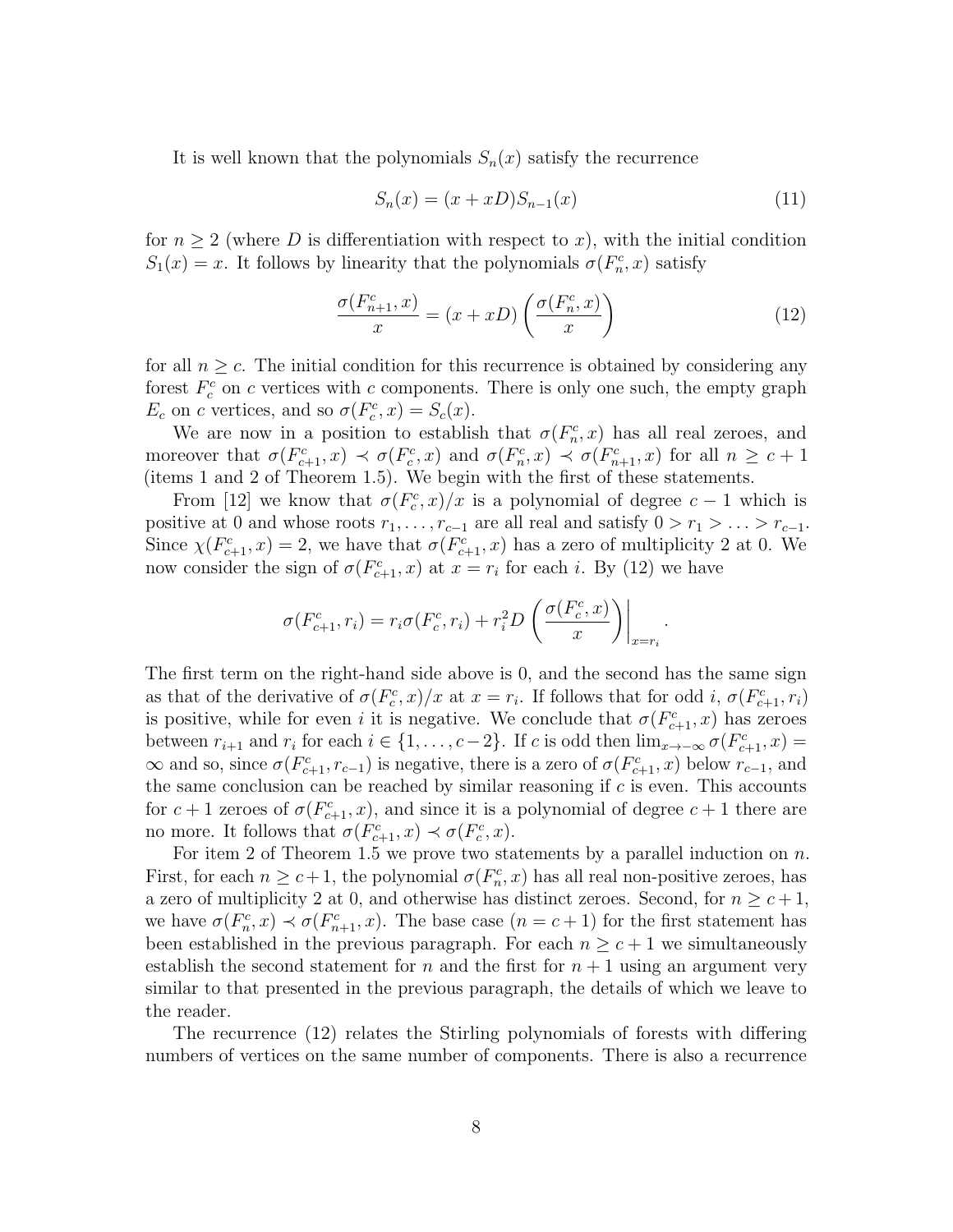It is well known that the polynomials  $S_n(x)$  satisfy the recurrence

$$
S_n(x) = (x + xD)S_{n-1}(x)
$$
\n(11)

for  $n \geq 2$  (where D is differentiation with respect to x), with the initial condition  $S_1(x) = x$ . It follows by linearity that the polynomials  $\sigma(F_n^c, x)$  satisfy

$$
\frac{\sigma(F_{n+1}^c, x)}{x} = (x + xD) \left( \frac{\sigma(F_n^c, x)}{x} \right)
$$
\n(12)

.

for all  $n \geq c$ . The initial condition for this recurrence is obtained by considering any forest  $F_c^c$  on c vertices with c components. There is only one such, the empty graph  $E_c$  on c vertices, and so  $\sigma(F_c^c, x) = S_c(x)$ .

We are now in a position to establish that  $\sigma(F_n^c, x)$  has all real zeroes, and moreover that  $\sigma(F_{c+1}^c, x) \prec \sigma(F_c^c, x)$  and  $\sigma(F_n^c, x) \prec \sigma(F_{n+1}^c, x)$  for all  $n \geq c+1$ (items 1 and 2 of Theorem 1.5). We begin with the first of these statements.

From [12] we know that  $\sigma(F_c^c, x)/x$  is a polynomial of degree  $c-1$  which is positive at 0 and whose roots  $r_1, \ldots, r_{c-1}$  are all real and satisfy  $0 > r_1 > \ldots > r_{c-1}$ . Since  $\chi(F_{c+1}^c, x) = 2$ , we have that  $\sigma(F_{c+1}^c, x)$  has a zero of multiplicity 2 at 0. We now consider the sign of  $\sigma(F_{c+1}^c, x)$  at  $x = r_i$  for each i. By (12) we have

$$
\sigma(F_{c+1}^c, r_i) = r_i \sigma(F_c^c, r_i) + r_i^2 D\left(\frac{\sigma(F_c^c, x)}{x}\right)\Big|_{x=r_i}
$$

The first term on the right-hand side above is 0, and the second has the same sign as that of the derivative of  $\sigma(F_c^c, x)/x$  at  $x = r_i$ . If follows that for odd i,  $\sigma(F_{c+1}^c, r_i)$ is positive, while for even i it is negative. We conclude that  $\sigma(F_{c+1}^c, x)$  has zeroes between  $r_{i+1}$  and  $r_i$  for each  $i \in \{1, \ldots, c-2\}$ . If c is odd then  $\lim_{x \to -\infty} \sigma(F_{c+1}^c, x) =$  $\infty$  and so, since  $\sigma(F_{c+1}^c, r_{c-1})$  is negative, there is a zero of  $\sigma(F_{c+1}^c, x)$  below  $r_{c-1}$ , and the same conclusion can be reached by similar reasoning if  $c$  is even. This accounts for  $c+1$  zeroes of  $\sigma(F_{c+1}^c, x)$ , and since it is a polynomial of degree  $c+1$  there are no more. It follows that  $\sigma(F_{c+1}^c, x) \prec \sigma(F_c^c, x)$ .

For item 2 of Theorem 1.5 we prove two statements by a parallel induction on  $n$ . First, for each  $n \geq c+1$ , the polynomial  $\sigma(F_n^c, x)$  has all real non-positive zeroes, has a zero of multiplicity 2 at 0, and otherwise has distinct zeroes. Second, for  $n \geq c+1$ , we have  $\sigma(F_n^c, x) \prec \sigma(F_{n+1}^c, x)$ . The base case  $(n = c + 1)$  for the first statement has been established in the previous paragraph. For each  $n \geq c+1$  we simultaneously establish the second statement for n and the first for  $n + 1$  using an argument very similar to that presented in the previous paragraph, the details of which we leave to the reader.

The recurrence (12) relates the Stirling polynomials of forests with differing numbers of vertices on the same number of components. There is also a recurrence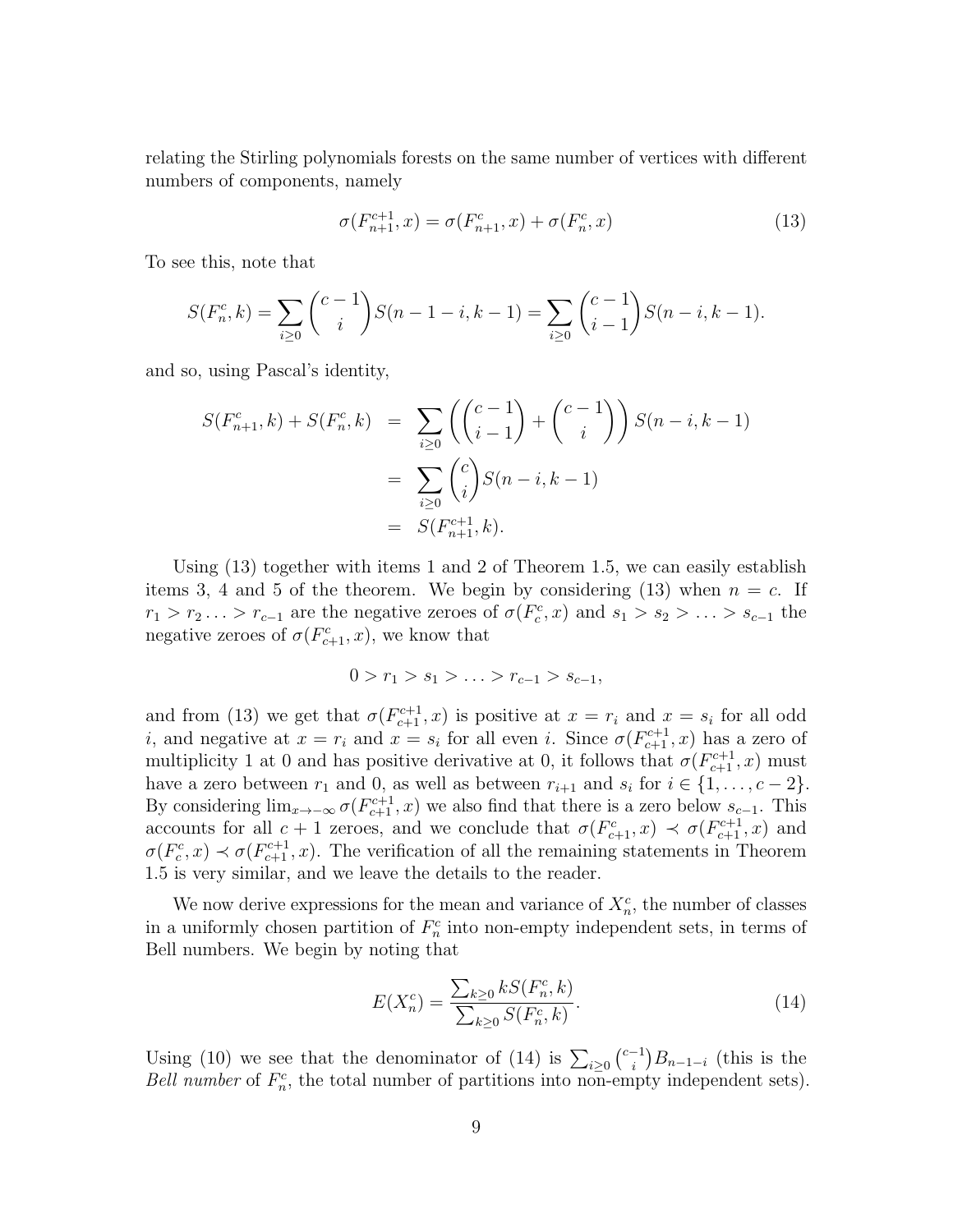relating the Stirling polynomials forests on the same number of vertices with different numbers of components, namely

$$
\sigma(F_{n+1}^{c+1}, x) = \sigma(F_{n+1}^{c}, x) + \sigma(F_{n}^{c}, x)
$$
\n(13)

To see this, note that

$$
S(F_n^c, k) = \sum_{i \ge 0} {c-1 \choose i} S(n-1-i, k-1) = \sum_{i \ge 0} {c-1 \choose i-1} S(n-i, k-1).
$$

and so, using Pascal's identity,

$$
S(F_{n+1}^c, k) + S(F_n^c, k) = \sum_{i \ge 0} \left( \binom{c-1}{i-1} + \binom{c-1}{i} \right) S(n-i, k-1)
$$
  
= 
$$
\sum_{i \ge 0} \binom{c}{i} S(n-i, k-1)
$$
  
= 
$$
S(F_{n+1}^{c+1}, k).
$$

Using (13) together with items 1 and 2 of Theorem 1.5, we can easily establish items 3, 4 and 5 of the theorem. We begin by considering  $(13)$  when  $n = c$ . If  $r_1 > r_2 \ldots > r_{c-1}$  are the negative zeroes of  $\sigma(F_c^c, x)$  and  $s_1 > s_2 > \ldots > s_{c-1}$  the negative zeroes of  $\sigma(F_{c+1}^c, x)$ , we know that

$$
0 > r_1 > s_1 > \ldots > r_{c-1} > s_{c-1},
$$

and from (13) we get that  $\sigma(F_{c+1}^{c+1}, x)$  is positive at  $x = r_i$  and  $x = s_i$  for all odd *i*, and negative at  $x = r_i$  and  $x = s_i$  for all even *i*. Since  $\sigma(F_{c+1}^{c+1}, x)$  has a zero of multiplicity 1 at 0 and has positive derivative at 0, it follows that  $\sigma(F_{c+1}^{c+1}, x)$  must have a zero between  $r_1$  and 0, as well as between  $r_{i+1}$  and  $s_i$  for  $i \in \{1, \ldots, c-2\}$ . By considering  $\lim_{x\to-\infty} \sigma(F_{c+1}^{c+1}, x)$  we also find that there is a zero below  $s_{c-1}$ . This accounts for all  $c+1$  zeroes, and we conclude that  $\sigma(F_{c+1}^c, x) \prec \sigma(F_{c+1}^{c+1}, x)$  and  $\sigma(F_c^c, x) \prec \sigma(F_{c+1}^{c+1}, x)$ . The verification of all the remaining statements in Theorem 1.5 is very similar, and we leave the details to the reader.

We now derive expressions for the mean and variance of  $X_n^c$ , the number of classes in a uniformly chosen partition of  $F_n^c$  into non-empty independent sets, in terms of Bell numbers. We begin by noting that

$$
E(X_n^c) = \frac{\sum_{k\geq 0} k S(F_n^c, k)}{\sum_{k\geq 0} S(F_n^c, k)}.
$$
\n(14)

Using (10) we see that the denominator of (14) is  $\sum_{i\geq 0}$   $\binom{c-1}{i}$  $\binom{-1}{i}B_{n-1-i}$  (this is the Bell number of  $F_n^c$ , the total number of partitions into non-empty independent sets).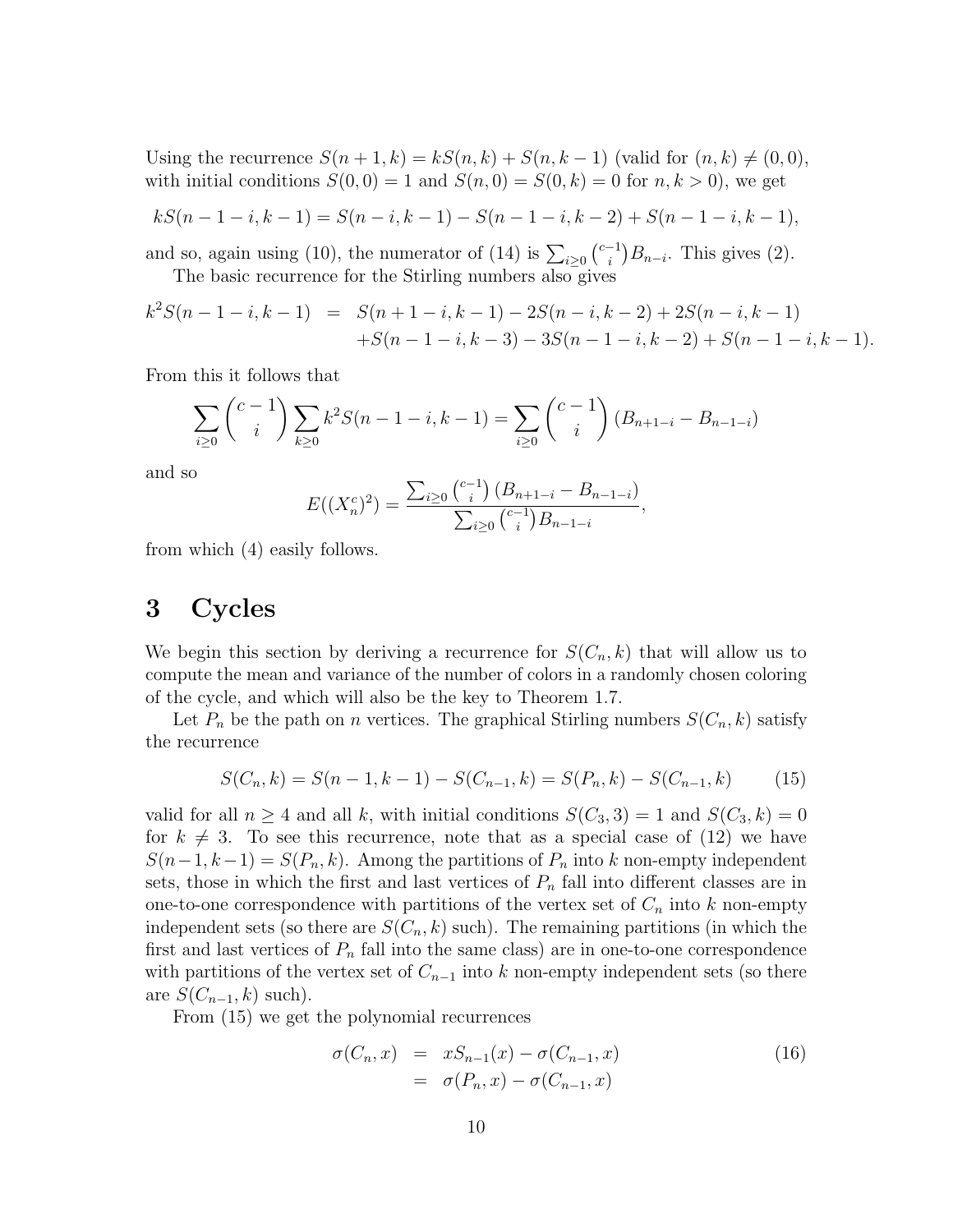Using the recurrence  $S(n+1, k) = kS(n, k) + S(n, k-1)$  (valid for  $(n, k) \neq (0, 0)$ , with initial conditions  $S(0,0) = 1$  and  $S(n,0) = S(0,k) = 0$  for  $n, k > 0$ , we get

$$
kS(n-1-i,k-1) = S(n-i,k-1) - S(n-1-i,k-2) + S(n-1-i,k-1),
$$

and so, again using (10), the numerator of (14) is  $\sum_{i\geq 0} {c-i \choose i}$  $\binom{-1}{i}B_{n-i}$ . This gives (2). The basic recurrence for the Stirling numbers also gives

$$
k^{2}S(n-1-i, k-1) = S(n+1-i, k-1) - 2S(n-i, k-2) + 2S(n-i, k-1) +S(n-1-i, k-3) - 3S(n-1-i, k-2) + S(n-1-i, k-1).
$$

From this it follows that

$$
\sum_{i\geq 0} \binom{c-1}{i} \sum_{k\geq 0} k^2 S(n-1-i, k-1) = \sum_{i\geq 0} \binom{c-1}{i} \left( B_{n+1-i} - B_{n-1-i} \right)
$$

and so

$$
E((X_n^c)^2) = \frac{\sum_{i\geq 0} {c-1 \choose i} (B_{n+1-i} - B_{n-1-i})}{\sum_{i\geq 0} {c-1 \choose i} B_{n-1-i}},
$$

from which (4) easily follows.

## 3 Cycles

We begin this section by deriving a recurrence for  $S(C_n, k)$  that will allow us to compute the mean and variance of the number of colors in a randomly chosen coloring of the cycle, and which will also be the key to Theorem 1.7.

Let  $P_n$  be the path on *n* vertices. The graphical Stirling numbers  $S(C_n, k)$  satisfy the recurrence

$$
S(C_n, k) = S(n-1, k-1) - S(C_{n-1}, k) = S(P_n, k) - S(C_{n-1}, k)
$$
 (15)

valid for all  $n \geq 4$  and all k, with initial conditions  $S(C_3, 3) = 1$  and  $S(C_3, k) = 0$ for  $k \neq 3$ . To see this recurrence, note that as a special case of (12) we have  $S(n-1, k-1) = S(P_n, k)$ . Among the partitions of  $P_n$  into k non-empty independent sets, those in which the first and last vertices of  $P_n$  fall into different classes are in one-to-one correspondence with partitions of the vertex set of  $C_n$  into k non-empty independent sets (so there are  $S(C_n, k)$  such). The remaining partitions (in which the first and last vertices of  $P_n$  fall into the same class) are in one-to-one correspondence with partitions of the vertex set of  $C_{n-1}$  into k non-empty independent sets (so there are  $S(C_{n-1}, k)$  such).

From (15) we get the polynomial recurrences

$$
\sigma(C_n, x) = xS_{n-1}(x) - \sigma(C_{n-1}, x) \n= \sigma(P_n, x) - \sigma(C_{n-1}, x)
$$
\n(16)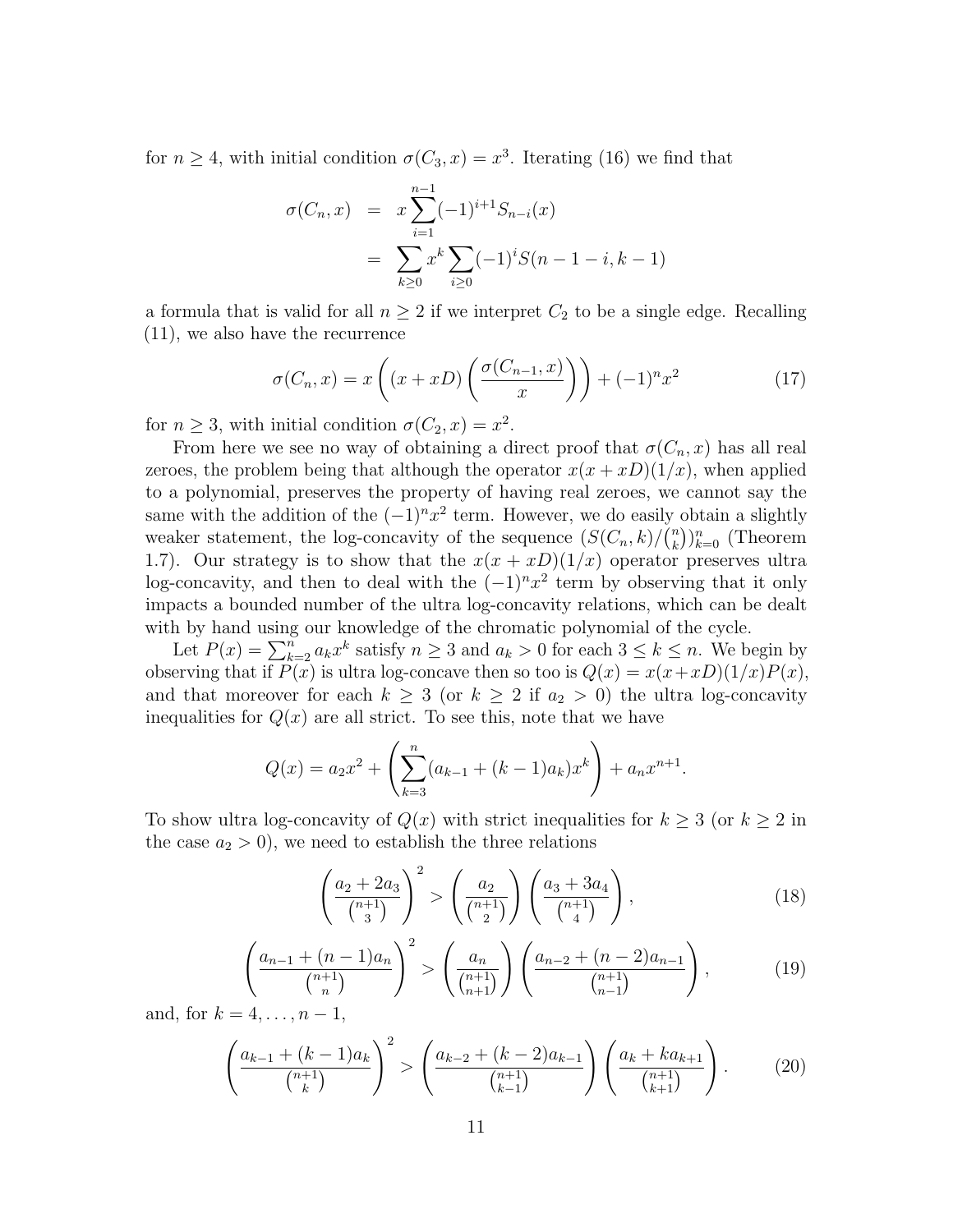for  $n \geq 4$ , with initial condition  $\sigma(C_3, x) = x^3$ . Iterating (16) we find that

$$
\sigma(C_n, x) = x \sum_{i=1}^{n-1} (-1)^{i+1} S_{n-i}(x)
$$
  
= 
$$
\sum_{k \ge 0} x^k \sum_{i \ge 0} (-1)^i S(n-1-i, k-1)
$$

a formula that is valid for all  $n \geq 2$  if we interpret  $C_2$  to be a single edge. Recalling (11), we also have the recurrence

$$
\sigma(C_n, x) = x\left( (x + xD) \left( \frac{\sigma(C_{n-1}, x)}{x} \right) \right) + (-1)^n x^2 \tag{17}
$$

for  $n \geq 3$ , with initial condition  $\sigma(C_2, x) = x^2$ .

From here we see no way of obtaining a direct proof that  $\sigma(C_n, x)$  has all real zeroes, the problem being that although the operator  $x(x + xD)(1/x)$ , when applied to a polynomial, preserves the property of having real zeroes, we cannot say the same with the addition of the  $(-1)^n x^2$  term. However, we do easily obtain a slightly weaker statement, the log-concavity of the sequence  $(S(C_n, k)/\binom{n}{k}$  $\binom{n}{k}\}_{k=0}^n$  (Theorem 1.7). Our strategy is to show that the  $x(x + xD)(1/x)$  operator preserves ultra log-concavity, and then to deal with the  $(-1)^n x^2$  term by observing that it only impacts a bounded number of the ultra log-concavity relations, which can be dealt with by hand using our knowledge of the chromatic polynomial of the cycle.

Let  $P(x) = \sum_{k=2}^{n} a_k x^k$  satisfy  $n \ge 3$  and  $a_k > 0$  for each  $3 \le k \le n$ . We begin by observing that if  $\overline{P(x)}$  is ultra log-concave then so too is  $Q(x) = x(x + xD)(1/x)P(x)$ , and that moreover for each  $k \geq 3$  (or  $k \geq 2$  if  $a_2 > 0$ ) the ultra log-concavity inequalities for  $Q(x)$  are all strict. To see this, note that we have

$$
Q(x) = a_2 x^2 + \left(\sum_{k=3}^n (a_{k-1} + (k-1)a_k)x^k\right) + a_n x^{n+1}.
$$

To show ultra log-concavity of  $Q(x)$  with strict inequalities for  $k \geq 3$  (or  $k \geq 2$  in the case  $a_2 > 0$ , we need to establish the three relations

$$
\left(\frac{a_2+2a_3}{\binom{n+1}{3}}\right)^2 > \left(\frac{a_2}{\binom{n+1}{2}}\right)\left(\frac{a_3+3a_4}{\binom{n+1}{4}}\right),\tag{18}
$$

$$
\left(\frac{a_{n-1} + (n-1)a_n}{\binom{n+1}{n}}\right)^2 > \left(\frac{a_n}{\binom{n+1}{n+1}}\right)\left(\frac{a_{n-2} + (n-2)a_{n-1}}{\binom{n+1}{n-1}}\right),\tag{19}
$$

and, for  $k = 4, ..., n - 1$ ,

$$
\left(\frac{a_{k-1} + (k-1)a_k}{\binom{n+1}{k}}\right)^2 > \left(\frac{a_{k-2} + (k-2)a_{k-1}}{\binom{n+1}{k-1}}\right)\left(\frac{a_k + ka_{k+1}}{\binom{n+1}{k+1}}\right). \tag{20}
$$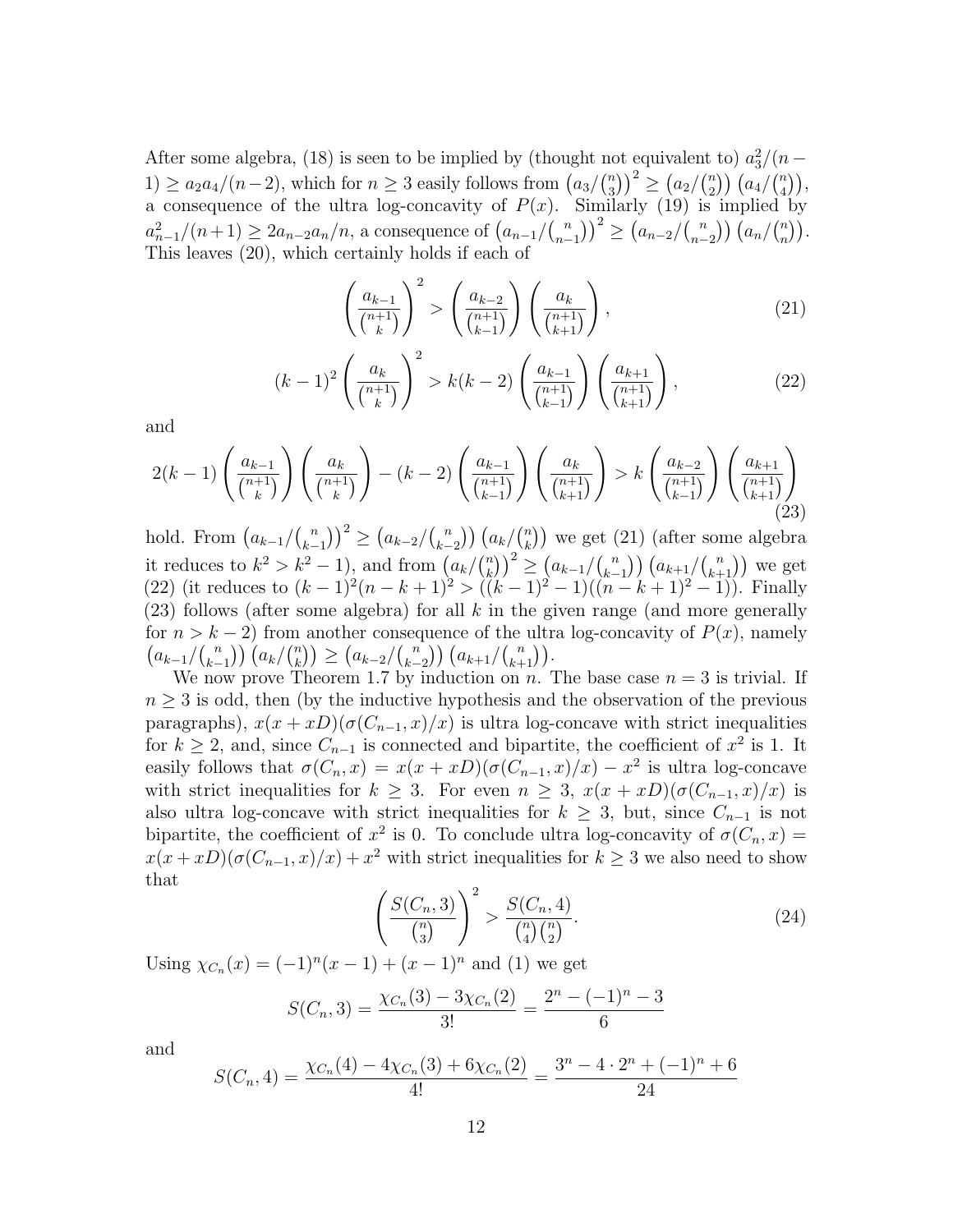After some algebra, (18) is seen to be implied by (thought not equivalent to)  $a_3^2/(n-$ 1) ≥  $a_2a_4/(n-2)$ , which for  $n \geq 3$  easily follows from  $\left(a_3\right)\binom{n}{3}$  ${n \choose 3}^2 \ge (a_2 / {n \choose 2})^2$  $\binom{n}{2}$   $\left( \frac{a_4}{\binom{n}{4}} \right)$  $\binom{n}{4}$ , a consequence of the ultra log-concavity of  $P(x)$ . Similarly (19) is implied by  $a_{n-1}^2/(n+1) \ge 2a_{n-2}a_n/n$ , a consequence of  $(a_{n-1}/\binom{n}{n-1})$  ${n \choose n-1}^2 \geq (a_{n-2}/\binom{n}{n-1})^2$  $\binom{n}{n-2}$   $\left(\frac{a_n}{n}\right)$  $\binom{n}{n}$ . This leaves (20), which certainly holds if each of

$$
\left(\frac{a_{k-1}}{\binom{n+1}{k}}\right)^2 > \left(\frac{a_{k-2}}{\binom{n+1}{k-1}}\right)\left(\frac{a_k}{\binom{n+1}{k+1}}\right),\tag{21}
$$

$$
(k-1)^2 \left(\frac{a_k}{\binom{n+1}{k}}\right)^2 > k(k-2) \left(\frac{a_{k-1}}{\binom{n+1}{k-1}}\right) \left(\frac{a_{k+1}}{\binom{n+1}{k+1}}\right),\tag{22}
$$

and

$$
2(k-1)\left(\frac{a_{k-1}}{\binom{n+1}{k}}\right)\left(\frac{a_k}{\binom{n+1}{k}}\right) - (k-2)\left(\frac{a_{k-1}}{\binom{n+1}{k-1}}\right)\left(\frac{a_k}{\binom{n+1}{k+1}}\right) > k\left(\frac{a_{k-2}}{\binom{n+1}{k-1}}\right)\left(\frac{a_{k+1}}{\binom{n+1}{k+1}}\right) \tag{23}
$$

hold. From  $\left(a_{k-1}/\binom{n}{k}\right)$  $\binom{n}{k-1}^2 \geq \left( \frac{a_{k-2}}{\binom{n}{k-1}} \right)^2$  $\binom{n}{k-2}$   $\left(a_k\right)\binom{n}{k}$  $\binom{n}{k}$ ) we get (21) (after some algebra it reduces to  $k^2 > k^2 - 1$ , and from  $\left(\frac{a_k}{k}\right)^n$  $\binom{n}{k}$  $\binom{2}{k} \geq \left( \frac{a_{k-1}}{\binom{n}{k-1}} \right)^{2}$  $\binom{n}{k-1}$   $\left( a_{k+1} \binom{n}{k+1} \right)$  we get (22) (it reduces to  $(k-1)^2(n-k+1)^2 > ((k-1)^2-1)((n-k+1)^2-1)$ ). Finally  $(23)$  follows (after some algebra) for all k in the given range (and more generally for  $n > k - 2$ ) from another consequence of the ultra log-concavity of  $P(x)$ , namely  $\left( \frac{a_{k-1}}{\mu} \right)$  $\binom{n}{k-1}$ )  $\left(a_k\middle/\binom{n}{k}\right)$  $\binom{n}{k}$ )  $\geq \frac{(a_{k-2}/\binom{n}{k-1})}{n}$  $\binom{n}{k-2}$   $\left( a_{k+1}/\binom{n}{k+1} \right)$ .

We now prove Theorem 1.7 by induction on n. The base case  $n = 3$  is trivial. If  $n \geq 3$  is odd, then (by the inductive hypothesis and the observation of the previous paragraphs),  $x(x + xD)(\sigma(C_{n-1}, x)/x)$  is ultra log-concave with strict inequalities for  $k \geq 2$ , and, since  $C_{n-1}$  is connected and bipartite, the coefficient of  $x^2$  is 1. It easily follows that  $\sigma(C_n, x) = x(x + xD)(\sigma(C_{n-1}, x)/x) - x^2$  is ultra log-concave with strict inequalities for  $k \geq 3$ . For even  $n \geq 3$ ,  $x(x + xD)(\sigma(C_{n-1}, x)/x)$  is also ultra log-concave with strict inequalities for  $k \geq 3$ , but, since  $C_{n-1}$  is not bipartite, the coefficient of  $x^2$  is 0. To conclude ultra log-concavity of  $\sigma(C_n, x) =$  $x(x + xD)(\sigma(C_{n-1}, x)/x) + x^2$  with strict inequalities for  $k \ge 3$  we also need to show that

$$
\left(\frac{S(C_n,3)}{\binom{n}{3}}\right)^2 > \frac{S(C_n,4)}{\binom{n}{4}\binom{n}{2}}.\tag{24}
$$

Using  $\chi_{C_n}(x) = (-1)^n(x-1) + (x-1)^n$  and (1) we get

$$
S(C_n,3) = \frac{\chi_{C_n}(3) - 3\chi_{C_n}(2)}{3!} = \frac{2^n - (-1)^n - 3}{6}
$$

and

$$
S(C_n, 4) = \frac{\chi_{C_n}(4) - 4\chi_{C_n}(3) + 6\chi_{C_n}(2)}{4!} = \frac{3^n - 4 \cdot 2^n + (-1)^n + 6}{24}
$$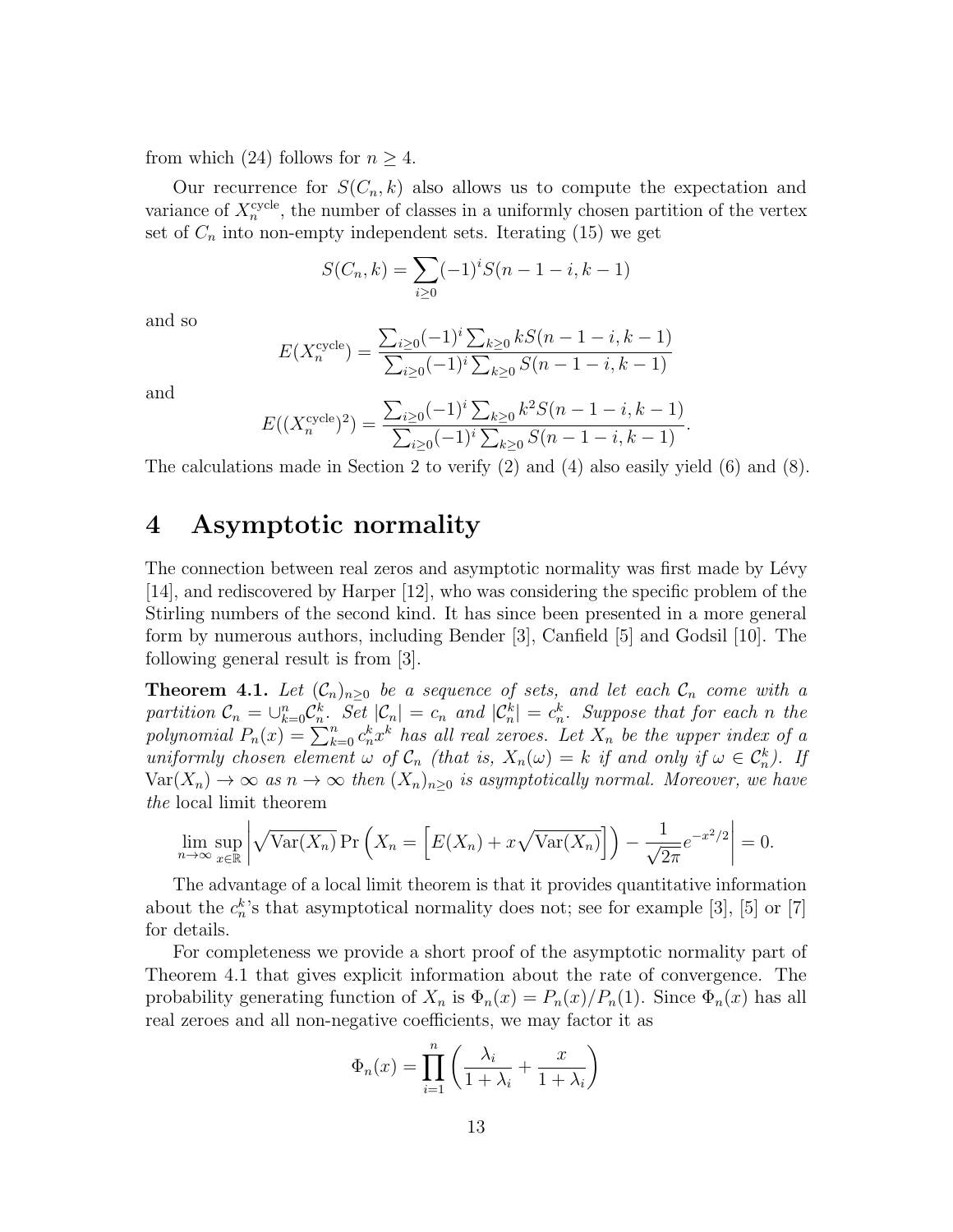from which (24) follows for  $n \geq 4$ .

Our recurrence for  $S(C_n, k)$  also allows us to compute the expectation and variance of  $X_n^{\text{cycle}}$ , the number of classes in a uniformly chosen partition of the vertex set of  $C_n$  into non-empty independent sets. Iterating (15) we get

$$
S(C_n, k) = \sum_{i \ge 0} (-1)^i S(n - 1 - i, k - 1)
$$

and so

$$
E(X_n^{\text{cycle}}) = \frac{\sum_{i \ge 0} (-1)^i \sum_{k \ge 0} kS(n-1-i, k-1)}{\sum_{i \ge 0} (-1)^i \sum_{k \ge 0} S(n-1-i, k-1)}
$$

and

$$
E((X_n^{\text{cycle}})^2) = \frac{\sum_{i\geq 0} (-1)^i \sum_{k\geq 0} k^2 S(n-1-i, k-1)}{\sum_{i\geq 0} (-1)^i \sum_{k\geq 0} S(n-1-i, k-1)}.
$$

The calculations made in Section 2 to verify (2) and (4) also easily yield (6) and (8).

#### 4 Asymptotic normality

The connection between real zeros and asymptotic normality was first made by Lévy [14], and rediscovered by Harper [12], who was considering the specific problem of the Stirling numbers of the second kind. It has since been presented in a more general form by numerous authors, including Bender [3], Canfield [5] and Godsil [10]. The following general result is from [3].

**Theorem 4.1.** Let  $(C_n)_{n\geq 0}$  be a sequence of sets, and let each  $C_n$  come with a partition  $\mathcal{C}_n = \bigcup_{k=0}^n \mathcal{C}_n^k$ . Set  $|\mathcal{C}_n| = c_n$  and  $|\mathcal{C}_n^k| = c_n^k$ . Suppose that for each n the polynomial  $P_n(x) = \sum_{k=0}^n c_n^k x^k$  has all real zeroes. Let  $X_n$  be the upper index of a uniformly chosen element  $\omega$  of  $\mathcal{C}_n$  (that is,  $X_n(\omega) = k$  if and only if  $\omega \in \mathcal{C}_n^k$ ). If  $\text{Var}(X_n) \to \infty$  as  $n \to \infty$  then  $(X_n)_{n>0}$  is asymptotically normal. Moreover, we have the local limit theorem

$$
\lim_{n \to \infty} \sup_{x \in \mathbb{R}} \left| \sqrt{\text{Var}(X_n)} \Pr\left(X_n = \left[E(X_n) + x\sqrt{\text{Var}(X_n)}\right]\right) - \frac{1}{\sqrt{2\pi}} e^{-x^2/2} \right| = 0.
$$

The advantage of a local limit theorem is that it provides quantitative information about the  $c_n^k$ 's that asymptotical normality does not; see for example [3], [5] or [7] for details.

For completeness we provide a short proof of the asymptotic normality part of Theorem 4.1 that gives explicit information about the rate of convergence. The probability generating function of  $X_n$  is  $\Phi_n(x) = P_n(x)/P_n(1)$ . Since  $\Phi_n(x)$  has all real zeroes and all non-negative coefficients, we may factor it as

$$
\Phi_n(x) = \prod_{i=1}^n \left( \frac{\lambda_i}{1 + \lambda_i} + \frac{x}{1 + \lambda_i} \right)
$$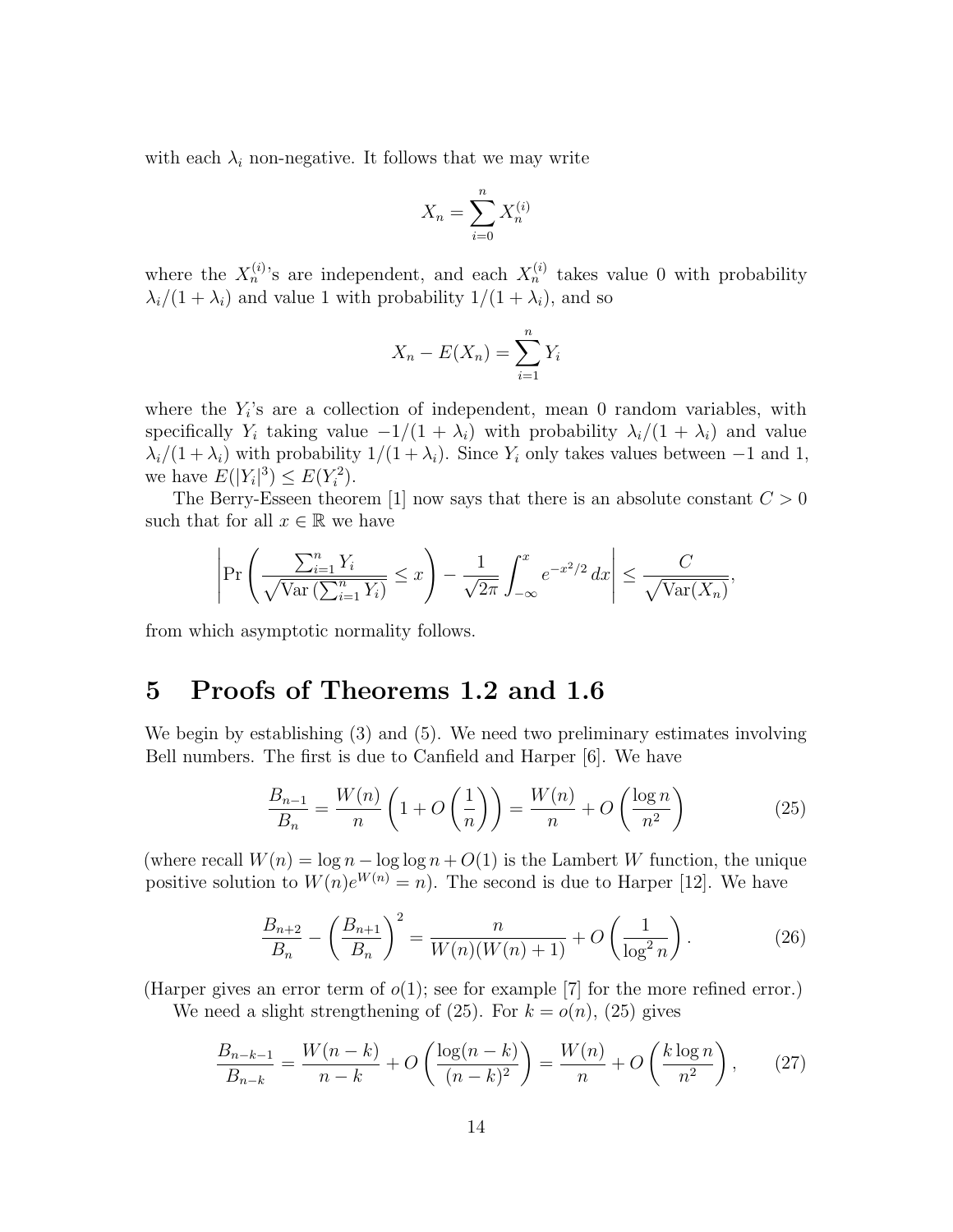with each  $\lambda_i$  non-negative. It follows that we may write

$$
X_n = \sum_{i=0}^n X_n^{(i)}
$$

where the  $X_n^{(i)}$ 's are independent, and each  $X_n^{(i)}$  takes value 0 with probability  $\lambda_i/(1 + \lambda_i)$  and value 1 with probability  $1/(1 + \lambda_i)$ , and so

$$
X_n - E(X_n) = \sum_{i=1}^n Y_i
$$

where the  $Y_i$ 's are a collection of independent, mean 0 random variables, with specifically Y<sub>i</sub> taking value  $-1/(1 + \lambda_i)$  with probability  $\lambda_i/(1 + \lambda_i)$  and value  $\lambda_i/(1 + \lambda_i)$  with probability  $1/(1 + \lambda_i)$ . Since  $Y_i$  only takes values between -1 and 1, we have  $E(|Y_i|^3) \leq E(Y_i^2)$ .

The Berry-Esseen theorem [1] now says that there is an absolute constant  $C > 0$ such that for all  $x \in \mathbb{R}$  we have

$$
\left|\Pr\left(\frac{\sum_{i=1}^n Y_i}{\sqrt{\text{Var}\left(\sum_{i=1}^n Y_i\right)}} \le x\right) - \frac{1}{\sqrt{2\pi}} \int_{-\infty}^x e^{-x^2/2} \, dx\right| \le \frac{C}{\sqrt{\text{Var}(X_n)}},
$$

from which asymptotic normality follows.

## 5 Proofs of Theorems 1.2 and 1.6

We begin by establishing (3) and (5). We need two preliminary estimates involving Bell numbers. The first is due to Canfield and Harper [6]. We have

$$
\frac{B_{n-1}}{B_n} = \frac{W(n)}{n} \left( 1 + O\left(\frac{1}{n}\right) \right) = \frac{W(n)}{n} + O\left(\frac{\log n}{n^2}\right) \tag{25}
$$

(where recall  $W(n) = \log n - \log \log n + O(1)$  is the Lambert W function, the unique positive solution to  $W(n)e^{W(n)} = n$ . The second is due to Harper [12]. We have

$$
\frac{B_{n+2}}{B_n} - \left(\frac{B_{n+1}}{B_n}\right)^2 = \frac{n}{W(n)(W(n+1))} + O\left(\frac{1}{\log^2 n}\right). \tag{26}
$$

(Harper gives an error term of  $o(1)$ ; see for example [7] for the more refined error.) We need a slight strengthening of  $(25)$ . For  $k = o(n)$ ,  $(25)$  gives

$$
\frac{B_{n-k-1}}{B_{n-k}} = \frac{W(n-k)}{n-k} + O\left(\frac{\log(n-k)}{(n-k)^2}\right) = \frac{W(n)}{n} + O\left(\frac{k\log n}{n^2}\right),\tag{27}
$$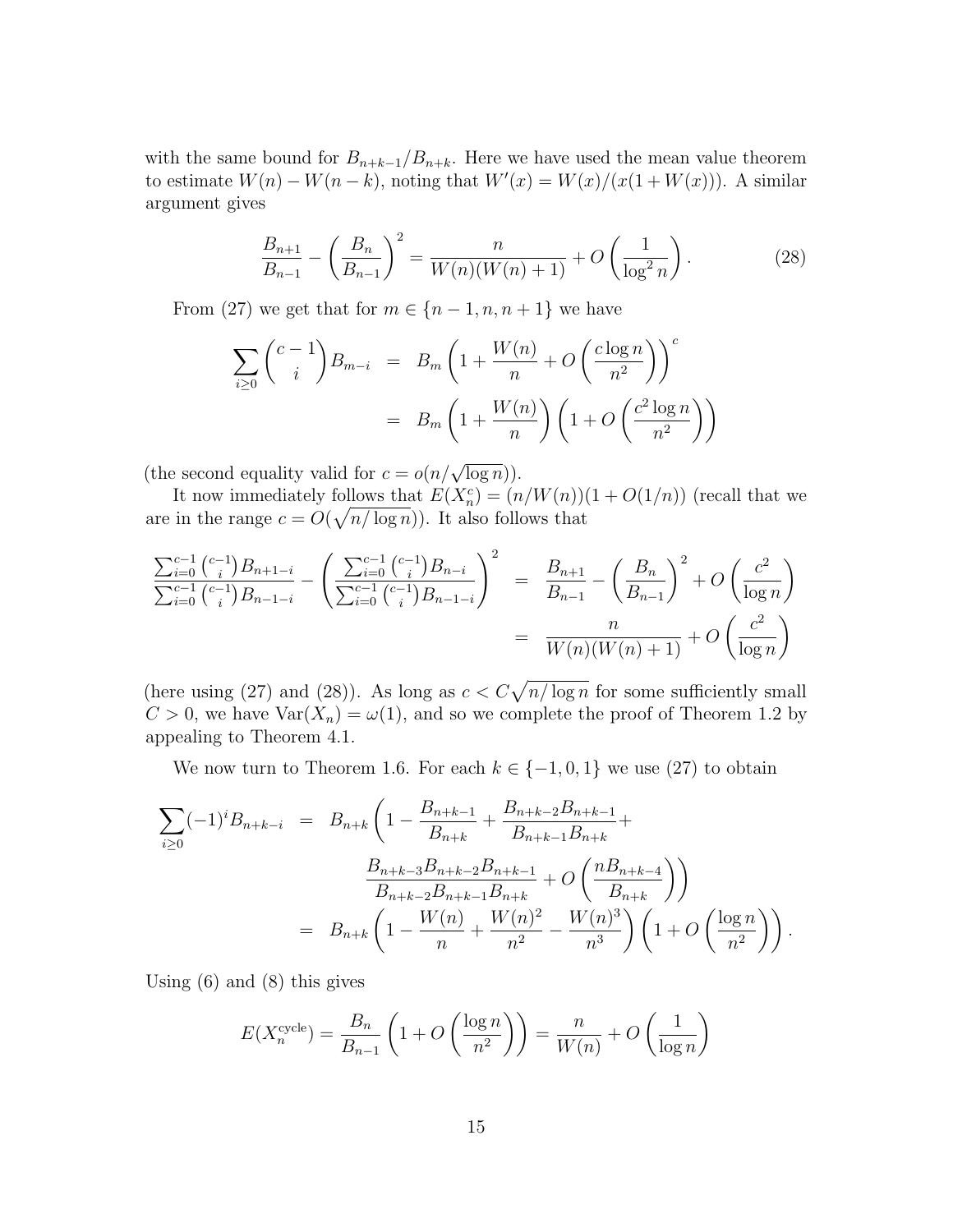with the same bound for  $B_{n+k-1}/B_{n+k}$ . Here we have used the mean value theorem to estimate  $W(n) - W(n - k)$ , noting that  $W'(x) = W(x)/(x(1 + W(x)))$ . A similar argument gives

$$
\frac{B_{n+1}}{B_{n-1}} - \left(\frac{B_n}{B_{n-1}}\right)^2 = \frac{n}{W(n)(W(n+1))} + O\left(\frac{1}{\log^2 n}\right). \tag{28}
$$

From (27) we get that for  $m \in \{n-1, n, n+1\}$  we have

$$
\sum_{i\geq 0} {c-1 \choose i} B_{m-i} = B_m \left( 1 + \frac{W(n)}{n} + O\left(\frac{c \log n}{n^2}\right) \right)^c
$$

$$
= B_m \left( 1 + \frac{W(n)}{n} \right) \left( 1 + O\left(\frac{c^2 \log n}{n^2}\right) \right)
$$

(the second equality valid for  $c = o(n/\sqrt{\log n})$ ).

It now immediately follows that  $E(X_n^c) = (n/W(n))(1+O(1/n))$  (recall that we are in the range  $c = O(\sqrt{n/\log n})$ . It also follows that

$$
\frac{\sum_{i=0}^{c-1} {\binom{c-1}{i}} B_{n+1-i}}{\sum_{i=0}^{c-1} {\binom{c-1}{i}} B_{n-1-i}} - \left( \frac{\sum_{i=0}^{c-1} {\binom{c-1}{i}} B_{n-i}}{\sum_{i=0}^{c-1} {\binom{c-1}{i}} B_{n-1-i}} \right)^2 = \frac{B_{n+1}}{B_{n-1}} - \left( \frac{B_n}{B_{n-1}} \right)^2 + O\left( \frac{c^2}{\log n} \right)
$$

$$
= \frac{n}{W(n)(W(n)+1)} + O\left( \frac{c^2}{\log n} \right)
$$

(here using (27) and (28)). As long as  $c < C\sqrt{n/\log n}$  for some sufficiently small  $C > 0$ , we have  $Var(X_n) = \omega(1)$ , and so we complete the proof of Theorem 1.2 by appealing to Theorem 4.1.

We now turn to Theorem 1.6. For each  $k \in \{-1,0,1\}$  we use  $(27)$  to obtain

$$
\sum_{i\geq 0} (-1)^i B_{n+k-i} = B_{n+k} \left( 1 - \frac{B_{n+k-1}}{B_{n+k}} + \frac{B_{n+k-2} B_{n+k-1}}{B_{n+k-1} B_{n+k}} + \frac{B_{n+k-3} B_{n+k-2} B_{n+k-1}}{B_{n+k-2} B_{n+k-1} B_{n+k}} + O\left(\frac{n B_{n+k-4}}{B_{n+k}}\right) \right)
$$
  
=  $B_{n+k} \left( 1 - \frac{W(n)}{n} + \frac{W(n)^2}{n^2} - \frac{W(n)^3}{n^3} \right) \left( 1 + O\left(\frac{\log n}{n^2}\right) \right).$ 

Using (6) and (8) this gives

$$
E(X_n^{\text{cycle}}) = \frac{B_n}{B_{n-1}} \left( 1 + O\left(\frac{\log n}{n^2}\right) \right) = \frac{n}{W(n)} + O\left(\frac{1}{\log n}\right)
$$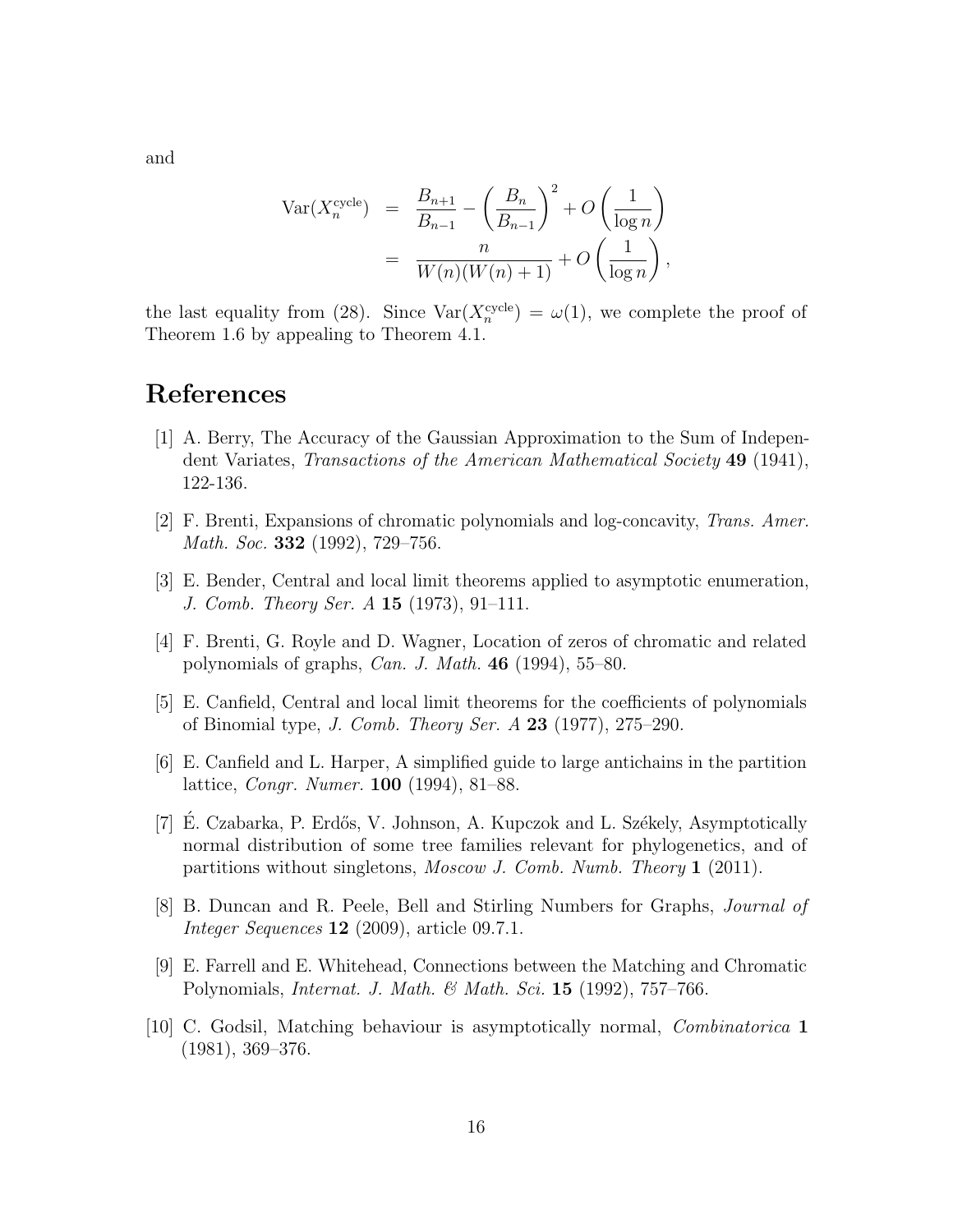$$
\operatorname{Var}(X_n^{\operatorname{cycle}}) = \frac{B_{n+1}}{B_{n-1}} - \left(\frac{B_n}{B_{n-1}}\right)^2 + O\left(\frac{1}{\log n}\right)
$$

$$
= \frac{n}{W(n)(W(n+1))} + O\left(\frac{1}{\log n}\right),
$$

the last equality from (28). Since  $\text{Var}(X_n^{\text{cycle}}) = \omega(1)$ , we complete the proof of Theorem 1.6 by appealing to Theorem 4.1.

## References

- [1] A. Berry, The Accuracy of the Gaussian Approximation to the Sum of Independent Variates, Transactions of the American Mathematical Society 49 (1941), 122-136.
- [2] F. Brenti, Expansions of chromatic polynomials and log-concavity, Trans. Amer. Math. Soc. **332** (1992), 729–756.
- [3] E. Bender, Central and local limit theorems applied to asymptotic enumeration, J. Comb. Theory Ser. A 15 (1973), 91–111.
- [4] F. Brenti, G. Royle and D. Wagner, Location of zeros of chromatic and related polynomials of graphs, Can. J. Math. 46 (1994), 55–80.
- [5] E. Canfield, Central and local limit theorems for the coefficients of polynomials of Binomial type, J. Comb. Theory Ser. A 23 (1977), 275–290.
- [6] E. Canfield and L. Harper, A simplified guide to large antichains in the partition lattice, Congr. Numer. 100 (1994), 81–88.
- [7] E. Czabarka, P. Erdős, V. Johnson, A. Kupczok and L. Székely, Asymptotically normal distribution of some tree families relevant for phylogenetics, and of partitions without singletons, Moscow J. Comb. Numb. Theory 1 (2011).
- [8] B. Duncan and R. Peele, Bell and Stirling Numbers for Graphs, Journal of *Integer Sequences* **12** (2009), article 09.7.1.
- [9] E. Farrell and E. Whitehead, Connections between the Matching and Chromatic Polynomials, *Internat. J. Math. & Math. Sci.* **15** (1992), 757–766.
- [10] C. Godsil, Matching behaviour is asymptotically normal, Combinatorica 1 (1981), 369–376.

and